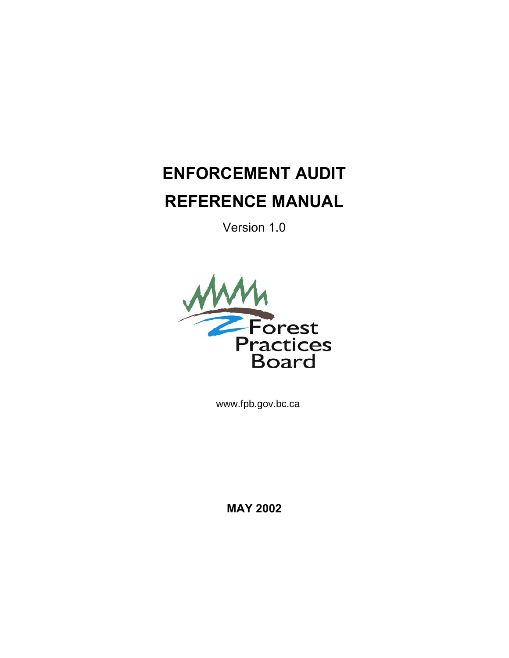# **ENFORCEMENT AUDIT REFERENCE MANUAL**

Version 1.0



[www.fpb.gov.bc.ca](http://www.fpb.gov.bc.ca)

**MAY 2002**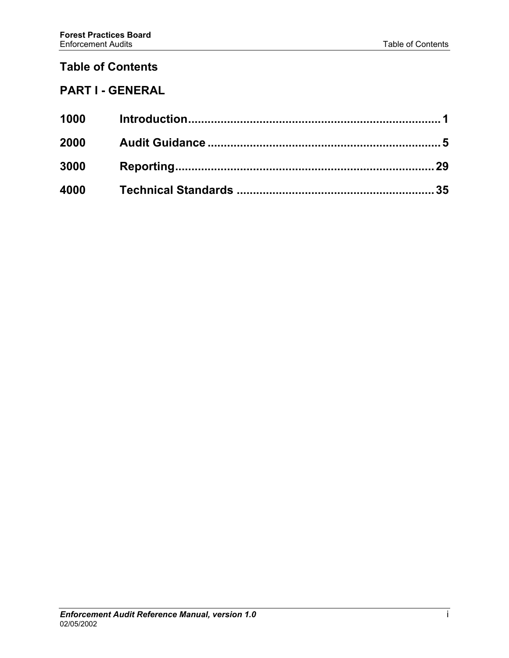# **Table of Contents**

# **PART I - GENERAL**

| 1000       |  |
|------------|--|
| 2000       |  |
| 3000       |  |
| 4000 - 100 |  |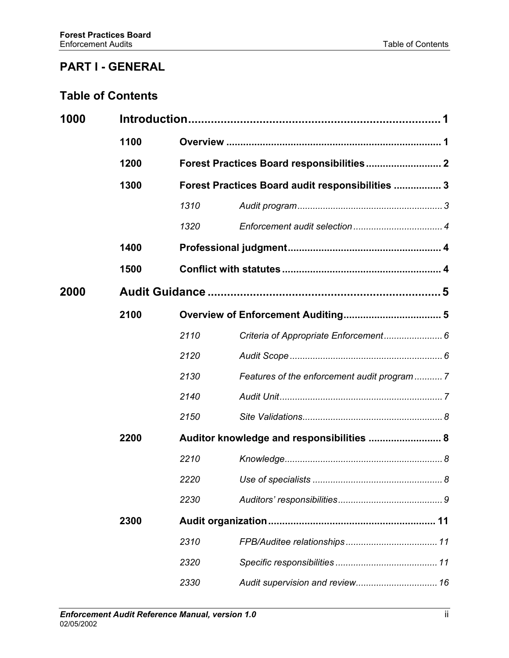# **PART I - GENERAL**

# **Table of Contents**

| 1000 |      |                                           |                                                  |  |  |
|------|------|-------------------------------------------|--------------------------------------------------|--|--|
|      | 1100 |                                           |                                                  |  |  |
|      | 1200 |                                           | Forest Practices Board responsibilities 2        |  |  |
|      | 1300 |                                           | Forest Practices Board audit responsibilities  3 |  |  |
|      |      | 1310                                      |                                                  |  |  |
|      |      | 1320                                      |                                                  |  |  |
|      | 1400 |                                           |                                                  |  |  |
|      | 1500 |                                           |                                                  |  |  |
| 2000 |      |                                           |                                                  |  |  |
|      | 2100 |                                           |                                                  |  |  |
|      |      | 2110                                      |                                                  |  |  |
|      |      | 2120                                      |                                                  |  |  |
|      |      | 2130                                      | Features of the enforcement audit program  7     |  |  |
|      |      | 2140                                      |                                                  |  |  |
|      |      | 2150                                      |                                                  |  |  |
|      | 2200 | Auditor knowledge and responsibilities  8 |                                                  |  |  |
|      |      | 2210                                      |                                                  |  |  |
|      |      | 2220                                      |                                                  |  |  |
|      |      | 2230                                      |                                                  |  |  |
|      | 2300 |                                           |                                                  |  |  |
|      |      | 2310                                      |                                                  |  |  |
|      |      | 2320                                      |                                                  |  |  |
|      |      | 2330                                      |                                                  |  |  |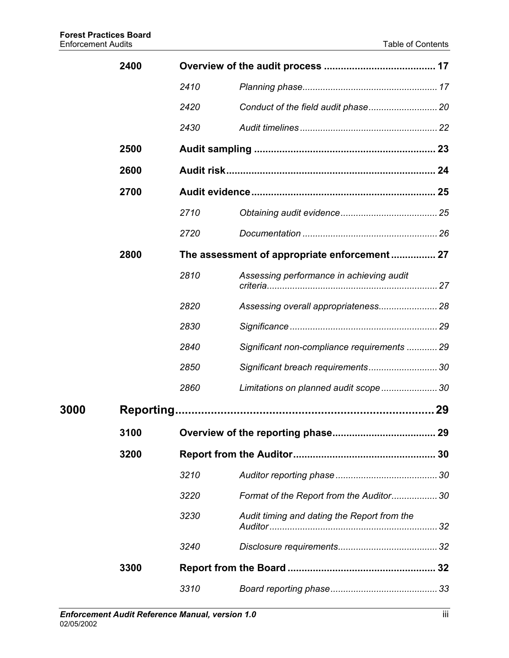|             | 2400 |                                              |                                             |    |
|-------------|------|----------------------------------------------|---------------------------------------------|----|
|             |      | 2410                                         |                                             |    |
|             |      | 2420                                         |                                             |    |
|             |      | 2430                                         |                                             |    |
|             | 2500 |                                              |                                             |    |
|             | 2600 |                                              |                                             |    |
|             | 2700 |                                              |                                             |    |
|             |      | 2710                                         |                                             |    |
|             |      | 2720                                         |                                             |    |
|             | 2800 | The assessment of appropriate enforcement 27 |                                             |    |
|             |      | 2810                                         | Assessing performance in achieving audit    |    |
|             |      | 2820                                         | Assessing overall appropriateness 28        |    |
|             |      | 2830                                         |                                             |    |
|             |      | 2840                                         | Significant non-compliance requirements  29 |    |
|             |      | 2850                                         | Significant breach requirements 30          |    |
|             |      | 2860                                         | Limitations on planned audit scope 30       |    |
| <b>3000</b> |      |                                              |                                             | 29 |
|             | 3100 |                                              |                                             |    |
|             | 3200 |                                              |                                             |    |
|             |      | 3210                                         |                                             |    |
|             |      | 3220                                         | Format of the Report from the Auditor30     |    |
|             |      | 3230                                         | Audit timing and dating the Report from the |    |
|             |      | 3240                                         |                                             |    |
|             | 3300 |                                              |                                             |    |
|             |      | 3310                                         |                                             |    |
|             |      |                                              |                                             |    |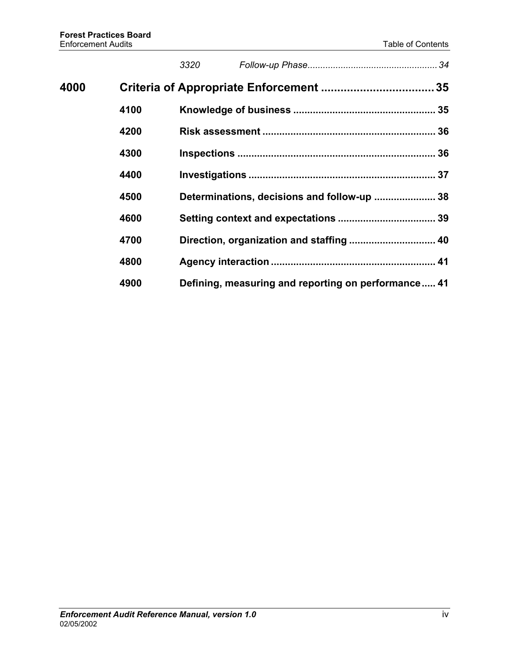|      |      | 3320 |                                                     |  |
|------|------|------|-----------------------------------------------------|--|
| 4000 |      |      |                                                     |  |
|      | 4100 |      |                                                     |  |
|      | 4200 |      |                                                     |  |
|      | 4300 |      |                                                     |  |
|      | 4400 |      |                                                     |  |
|      | 4500 |      | Determinations, decisions and follow-up  38         |  |
|      | 4600 |      |                                                     |  |
|      | 4700 |      | Direction, organization and staffing  40            |  |
|      | 4800 |      |                                                     |  |
|      | 4900 |      | Defining, measuring and reporting on performance 41 |  |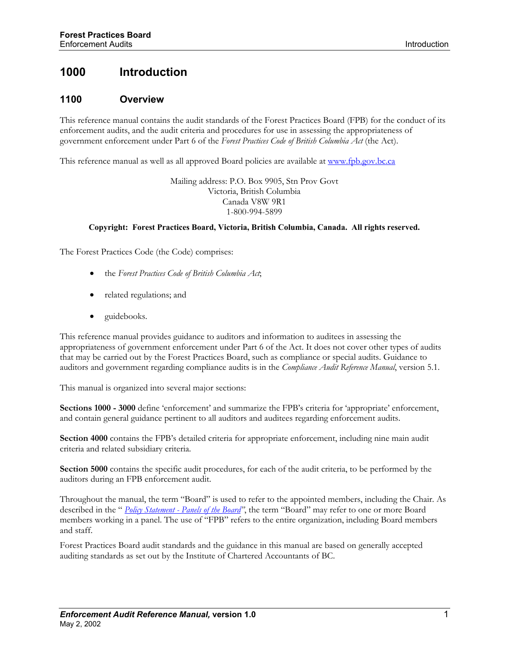# <span id="page-5-0"></span>**1000 Introduction**

#### **1100 Overview**

This reference manual contains the audit standards of the Forest Practices Board (FPB) for the conduct of its enforcement audits, and the audit criteria and procedures for use in assessing the appropriateness of government enforcement under Part 6 of the *Forest Practices Code of British Columbia Act* (the Act).

This reference manual as well as all approved Board policies are available at [www.fpb.gov.bc.ca](http://www.fpb.gov.bc.ca/)

Mailing address: P.O. Box 9905, Stn Prov Govt Victoria, British Columbia Canada V8W 9R1 1-800-994-5899

#### **Copyright: Forest Practices Board, Victoria, British Columbia, Canada. All rights reserved.**

The Forest Practices Code (the Code) comprises:

- the *Forest Practices Code of British Columbia Act*;
- related regulations; and
- guidebooks.

This reference manual provides guidance to auditors and information to auditees in assessing the appropriateness of government enforcement under Part 6 of the Act. It does not cover other types of audits that may be carried out by the Forest Practices Board, such as compliance or special audits. Guidance to auditors and government regarding compliance audits is in the *Compliance Audit Reference Manual*, version 5.1.

This manual is organized into several major sections:

**Sections 1000 - 3000** define 'enforcement' and summarize the FPB's criteria for 'appropriate' enforcement, and contain general guidance pertinent to all auditors and auditees regarding enforcement audits.

**Section 4000** contains the FPB's detailed criteria for appropriate enforcement, including nine main audit criteria and related subsidiary criteria.

**Section 5000** contains the specific audit procedures, for each of the audit criteria, to be performed by the auditors during an FPB enforcement audit.

Throughout the manual, the term "Board" is used to refer to the appointed members, including the Chair. As described in the " *[Policy Statement - Panels of the Board"](http://www.fpb.gov.bc.ca/about_policy_panel.htm)*, the term "Board" may refer to one or more Board members working in a panel. The use of "FPB" refers to the entire organization, including Board members and staff.

Forest Practices Board audit standards and the guidance in this manual are based on generally accepted auditing standards as set out by the Institute of Chartered Accountants of BC.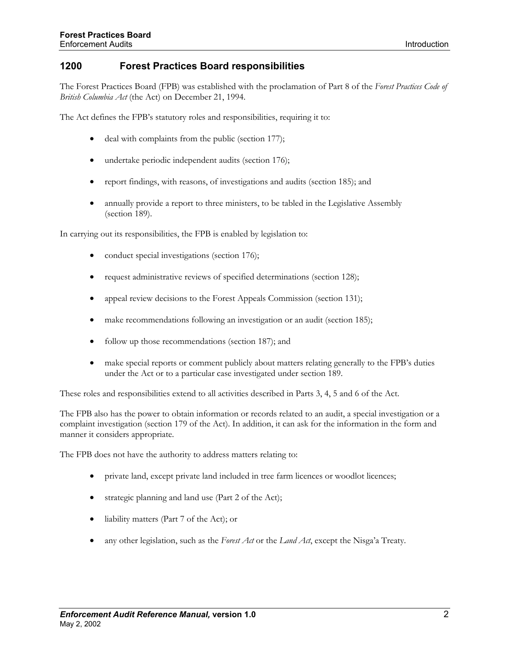#### <span id="page-6-0"></span>**1200 Forest Practices Board responsibilities**

The Forest Practices Board (FPB) was established with the proclamation of Part 8 of the *Forest Practices Code of British Columbia Act* (the Act) on December 21, 1994.

The Act defines the FPB's statutory roles and responsibilities, requiring it to:

- deal with complaints from the public (section 177);
- undertake periodic independent audits (section 176);
- report findings, with reasons, of investigations and audits (section 185); and
- annually provide a report to three ministers, to be tabled in the Legislative Assembly (section 189).

In carrying out its responsibilities, the FPB is enabled by legislation to:

- conduct special investigations (section 176);
- request administrative reviews of specified determinations (section 128);
- appeal review decisions to the Forest Appeals Commission (section 131);
- make recommendations following an investigation or an audit (section 185);
- follow up those recommendations (section 187); and
- make special reports or comment publicly about matters relating generally to the FPB's duties under the Act or to a particular case investigated under section 189.

These roles and responsibilities extend to all activities described in Parts 3, 4, 5 and 6 of the Act.

The FPB also has the power to obtain information or records related to an audit, a special investigation or a complaint investigation (section 179 of the Act). In addition, it can ask for the information in the form and manner it considers appropriate.

The FPB does not have the authority to address matters relating to:

- private land, except private land included in tree farm licences or woodlot licences;
- strategic planning and land use (Part 2 of the Act);
- liability matters (Part 7 of the Act); or
- any other legislation, such as the *Forest Act* or the *Land Act*, except the Nisga'a Treaty.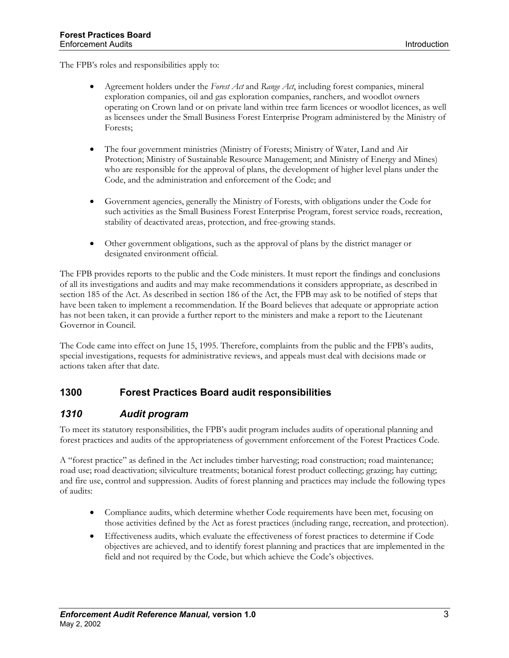<span id="page-7-0"></span>The FPB's roles and responsibilities apply to:

- Agreement holders under the *Forest Act* and *Range Act*, including forest companies, mineral exploration companies, oil and gas exploration companies, ranchers, and woodlot owners operating on Crown land or on private land within tree farm licences or woodlot licences, as well as licensees under the Small Business Forest Enterprise Program administered by the Ministry of Forests;
- The four government ministries (Ministry of Forests; Ministry of Water, Land and Air Protection; Ministry of Sustainable Resource Management; and Ministry of Energy and Mines) who are responsible for the approval of plans, the development of higher level plans under the Code, and the administration and enforcement of the Code; and
- Government agencies, generally the Ministry of Forests, with obligations under the Code for such activities as the Small Business Forest Enterprise Program, forest service roads, recreation, stability of deactivated areas, protection, and free-growing stands.
- Other government obligations, such as the approval of plans by the district manager or designated environment official.

The FPB provides reports to the public and the Code ministers. It must report the findings and conclusions of all its investigations and audits and may make recommendations it considers appropriate, as described in section 185 of the Act. As described in section 186 of the Act, the FPB may ask to be notified of steps that have been taken to implement a recommendation. If the Board believes that adequate or appropriate action has not been taken, it can provide a further report to the ministers and make a report to the Lieutenant Governor in Council.

The Code came into effect on June 15, 1995. Therefore, complaints from the public and the FPB's audits, special investigations, requests for administrative reviews, and appeals must deal with decisions made or actions taken after that date.

## **1300 Forest Practices Board audit responsibilities**

#### *1310 Audit program*

To meet its statutory responsibilities, the FPB's audit program includes audits of operational planning and forest practices and audits of the appropriateness of government enforcement of the Forest Practices Code.

A "forest practice" as defined in the Act includes timber harvesting; road construction; road maintenance; road use; road deactivation; silviculture treatments; botanical forest product collecting; grazing; hay cutting; and fire use, control and suppression. Audits of forest planning and practices may include the following types of audits:

- Compliance audits, which determine whether Code requirements have been met, focusing on those activities defined by the Act as forest practices (including range, recreation, and protection).
- Effectiveness audits, which evaluate the effectiveness of forest practices to determine if Code objectives are achieved, and to identify forest planning and practices that are implemented in the field and not required by the Code, but which achieve the Code's objectives.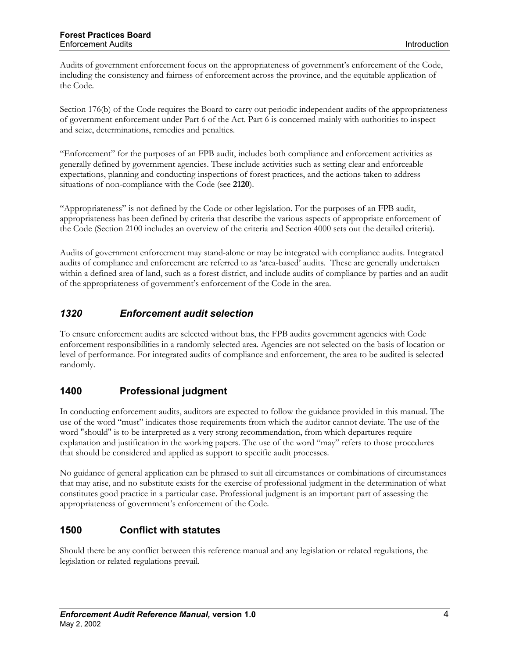<span id="page-8-0"></span>Audits of government enforcement focus on the appropriateness of government's enforcement of the Code, including the consistency and fairness of enforcement across the province, and the equitable application of the Code.

Section 176(b) of the Code requires the Board to carry out periodic independent audits of the appropriateness of government enforcement under Part 6 of the Act. Part 6 is concerned mainly with authorities to inspect and seize, determinations, remedies and penalties.

"Enforcement" for the purposes of an FPB audit, includes both compliance and enforcement activities as generally defined by government agencies. These include activities such as setting clear and enforceable expectations, planning and conducting inspections of forest practices, and the actions taken to address situations of non-compliance with the Code (see **2120**).

"Appropriateness" is not defined by the Code or other legislation. For the purposes of an FPB audit, appropriateness has been defined by criteria that describe the various aspects of appropriate enforcement of the Code (Section 2100 includes an overview of the criteria and Section 4000 sets out the detailed criteria).

Audits of government enforcement may stand-alone or may be integrated with compliance audits. Integrated audits of compliance and enforcement are referred to as 'area-based' audits. These are generally undertaken within a defined area of land, such as a forest district, and include audits of compliance by parties and an audit of the appropriateness of government's enforcement of the Code in the area.

## *1320 Enforcement audit selection*

To ensure enforcement audits are selected without bias, the FPB audits government agencies with Code enforcement responsibilities in a randomly selected area. Agencies are not selected on the basis of location or level of performance. For integrated audits of compliance and enforcement, the area to be audited is selected randomly.

#### **1400 Professional judgment**

In conducting enforcement audits, auditors are expected to follow the guidance provided in this manual. The use of the word "must" indicates those requirements from which the auditor cannot deviate. The use of the word "should" is to be interpreted as a very strong recommendation, from which departures require explanation and justification in the working papers. The use of the word "may" refers to those procedures that should be considered and applied as support to specific audit processes.

No guidance of general application can be phrased to suit all circumstances or combinations of circumstances that may arise, and no substitute exists for the exercise of professional judgment in the determination of what constitutes good practice in a particular case. Professional judgment is an important part of assessing the appropriateness of government's enforcement of the Code.

## **1500 Conflict with statutes**

Should there be any conflict between this reference manual and any legislation or related regulations, the legislation or related regulations prevail.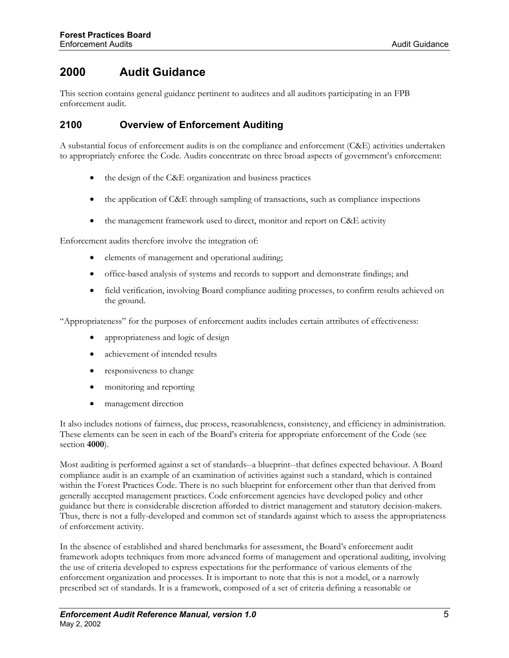# <span id="page-9-0"></span>**2000 Audit Guidance**

This section contains general guidance pertinent to auditees and all auditors participating in an FPB enforcement audit.

## **2100 Overview of Enforcement Auditing**

A substantial focus of enforcement audits is on the compliance and enforcement (C&E) activities undertaken to appropriately enforce the Code. Audits concentrate on three broad aspects of government's enforcement:

- the design of the C&E organization and business practices
- the application of C&E through sampling of transactions, such as compliance inspections
- the management framework used to direct, monitor and report on C&E activity

Enforcement audits therefore involve the integration of:

- elements of management and operational auditing;
- office-based analysis of systems and records to support and demonstrate findings; and
- field verification, involving Board compliance auditing processes, to confirm results achieved on the ground.

"Appropriateness" for the purposes of enforcement audits includes certain attributes of effectiveness:

- appropriateness and logic of design
- achievement of intended results
- responsiveness to change
- monitoring and reporting
- management direction

It also includes notions of fairness, due process, reasonableness, consistency, and efficiency in administration. These elements can be seen in each of the Board's criteria for appropriate enforcement of the Code (see section **4000**).

Most auditing is performed against a set of standards--a blueprint--that defines expected behaviour. A Board compliance audit is an example of an examination of activities against such a standard, which is contained within the Forest Practices Code. There is no such blueprint for enforcement other than that derived from generally accepted management practices. Code enforcement agencies have developed policy and other guidance but there is considerable discretion afforded to district management and statutory decision-makers. Thus, there is not a fully-developed and common set of standards against which to assess the appropriateness of enforcement activity.

In the absence of established and shared benchmarks for assessment, the Board's enforcement audit framework adopts techniques from more advanced forms of management and operational auditing, involving the use of criteria developed to express expectations for the performance of various elements of the enforcement organization and processes. It is important to note that this is not a model, or a narrowly prescribed set of standards. It is a framework, composed of a set of criteria defining a reasonable or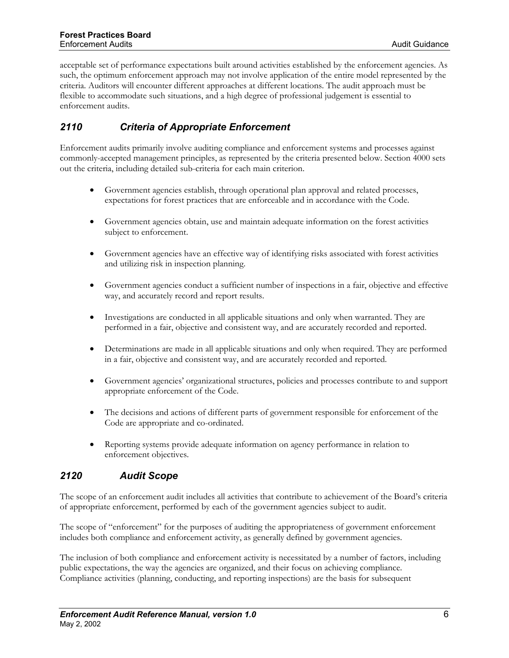<span id="page-10-0"></span>acceptable set of performance expectations built around activities established by the enforcement agencies. As such, the optimum enforcement approach may not involve application of the entire model represented by the criteria. Auditors will encounter different approaches at different locations. The audit approach must be flexible to accommodate such situations, and a high degree of professional judgement is essential to enforcement audits.

# *2110 Criteria of Appropriate Enforcement*

Enforcement audits primarily involve auditing compliance and enforcement systems and processes against commonly-accepted management principles, as represented by the criteria presented below. Section 4000 sets out the criteria, including detailed sub-criteria for each main criterion.

- Government agencies establish, through operational plan approval and related processes, expectations for forest practices that are enforceable and in accordance with the Code.
- Government agencies obtain, use and maintain adequate information on the forest activities subject to enforcement.
- Government agencies have an effective way of identifying risks associated with forest activities and utilizing risk in inspection planning.
- Government agencies conduct a sufficient number of inspections in a fair, objective and effective way, and accurately record and report results.
- Investigations are conducted in all applicable situations and only when warranted. They are performed in a fair, objective and consistent way, and are accurately recorded and reported.
- Determinations are made in all applicable situations and only when required. They are performed in a fair, objective and consistent way, and are accurately recorded and reported.
- Government agencies' organizational structures, policies and processes contribute to and support appropriate enforcement of the Code.
- The decisions and actions of different parts of government responsible for enforcement of the Code are appropriate and co-ordinated.
- Reporting systems provide adequate information on agency performance in relation to enforcement objectives.

## *2120 Audit Scope*

The scope of an enforcement audit includes all activities that contribute to achievement of the Board's criteria of appropriate enforcement, performed by each of the government agencies subject to audit.

The scope of "enforcement" for the purposes of auditing the appropriateness of government enforcement includes both compliance and enforcement activity, as generally defined by government agencies.

The inclusion of both compliance and enforcement activity is necessitated by a number of factors, including public expectations, the way the agencies are organized, and their focus on achieving compliance. Compliance activities (planning, conducting, and reporting inspections) are the basis for subsequent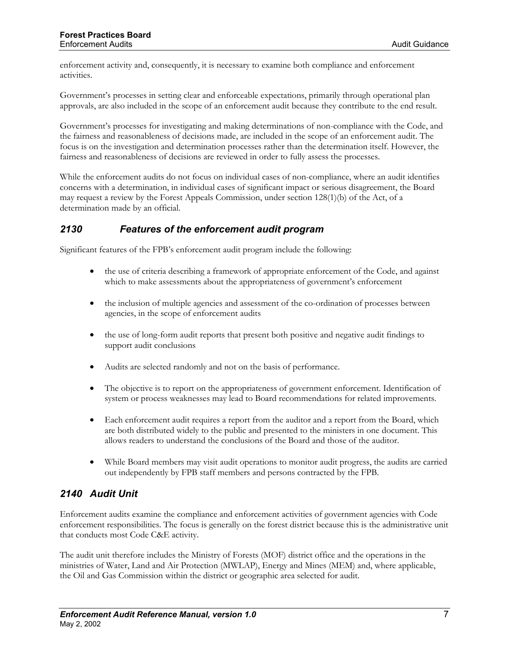<span id="page-11-0"></span>enforcement activity and, consequently, it is necessary to examine both compliance and enforcement activities.

Government's processes in setting clear and enforceable expectations, primarily through operational plan approvals, are also included in the scope of an enforcement audit because they contribute to the end result.

Government's processes for investigating and making determinations of non-compliance with the Code, and the fairness and reasonableness of decisions made, are included in the scope of an enforcement audit. The focus is on the investigation and determination processes rather than the determination itself. However, the fairness and reasonableness of decisions are reviewed in order to fully assess the processes.

While the enforcement audits do not focus on individual cases of non-compliance, where an audit identifies concerns with a determination, in individual cases of significant impact or serious disagreement, the Board may request a review by the Forest Appeals Commission, under section 128(1)(b) of the Act, of a determination made by an official.

#### *2130 Features of the enforcement audit program*

Significant features of the FPB's enforcement audit program include the following:

- the use of criteria describing a framework of appropriate enforcement of the Code, and against which to make assessments about the appropriateness of government's enforcement
- the inclusion of multiple agencies and assessment of the co-ordination of processes between agencies, in the scope of enforcement audits
- the use of long-form audit reports that present both positive and negative audit findings to support audit conclusions
- Audits are selected randomly and not on the basis of performance.
- The objective is to report on the appropriateness of government enforcement. Identification of system or process weaknesses may lead to Board recommendations for related improvements.
- Each enforcement audit requires a report from the auditor and a report from the Board, which are both distributed widely to the public and presented to the ministers in one document. This allows readers to understand the conclusions of the Board and those of the auditor.
- While Board members may visit audit operations to monitor audit progress, the audits are carried out independently by FPB staff members and persons contracted by the FPB.

## *2140 Audit Unit*

Enforcement audits examine the compliance and enforcement activities of government agencies with Code enforcement responsibilities. The focus is generally on the forest district because this is the administrative unit that conducts most Code C&E activity.

The audit unit therefore includes the Ministry of Forests (MOF) district office and the operations in the ministries of Water, Land and Air Protection (MWLAP), Energy and Mines (MEM) and, where applicable, the Oil and Gas Commission within the district or geographic area selected for audit.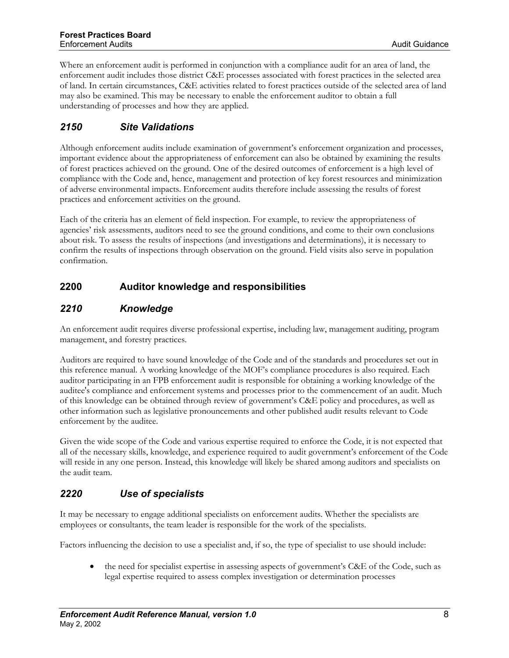<span id="page-12-0"></span>Where an enforcement audit is performed in conjunction with a compliance audit for an area of land, the enforcement audit includes those district C&E processes associated with forest practices in the selected area of land. In certain circumstances, C&E activities related to forest practices outside of the selected area of land may also be examined. This may be necessary to enable the enforcement auditor to obtain a full understanding of processes and how they are applied.

# *2150 Site Validations*

Although enforcement audits include examination of government's enforcement organization and processes, important evidence about the appropriateness of enforcement can also be obtained by examining the results of forest practices achieved on the ground. One of the desired outcomes of enforcement is a high level of compliance with the Code and, hence, management and protection of key forest resources and minimization of adverse environmental impacts. Enforcement audits therefore include assessing the results of forest practices and enforcement activities on the ground.

Each of the criteria has an element of field inspection. For example, to review the appropriateness of agencies' risk assessments, auditors need to see the ground conditions, and come to their own conclusions about risk. To assess the results of inspections (and investigations and determinations), it is necessary to confirm the results of inspections through observation on the ground. Field visits also serve in population confirmation.

# **2200 Auditor knowledge and responsibilities**

## *2210 Knowledge*

An enforcement audit requires diverse professional expertise, including law, management auditing, program management, and forestry practices.

Auditors are required to have sound knowledge of the Code and of the standards and procedures set out in this reference manual. A working knowledge of the MOF's compliance procedures is also required. Each auditor participating in an FPB enforcement audit is responsible for obtaining a working knowledge of the auditee's compliance and enforcement systems and processes prior to the commencement of an audit. Much of this knowledge can be obtained through review of government's C&E policy and procedures, as well as other information such as legislative pronouncements and other published audit results relevant to Code enforcement by the auditee.

Given the wide scope of the Code and various expertise required to enforce the Code, it is not expected that all of the necessary skills, knowledge, and experience required to audit government's enforcement of the Code will reside in any one person. Instead, this knowledge will likely be shared among auditors and specialists on the audit team.

# *2220 Use of specialists*

It may be necessary to engage additional specialists on enforcement audits. Whether the specialists are employees or consultants, the team leader is responsible for the work of the specialists.

Factors influencing the decision to use a specialist and, if so, the type of specialist to use should include:

• the need for specialist expertise in assessing aspects of government's C&E of the Code, such as legal expertise required to assess complex investigation or determination processes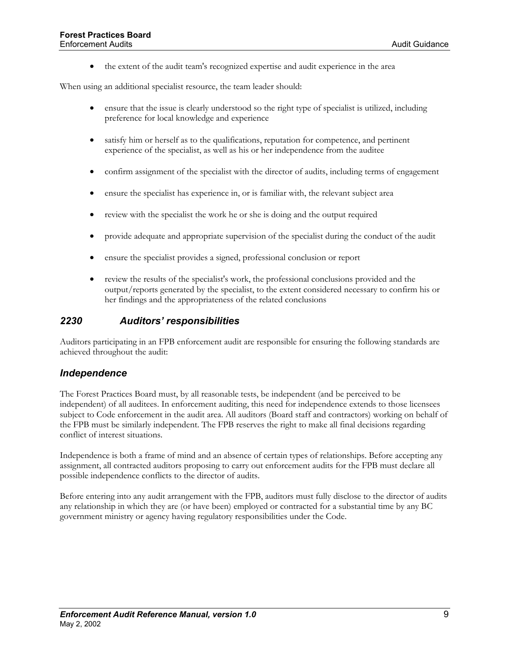• the extent of the audit team's recognized expertise and audit experience in the area

<span id="page-13-0"></span>When using an additional specialist resource, the team leader should:

- ensure that the issue is clearly understood so the right type of specialist is utilized, including preference for local knowledge and experience
- satisfy him or herself as to the qualifications, reputation for competence, and pertinent experience of the specialist, as well as his or her independence from the auditee
- confirm assignment of the specialist with the director of audits, including terms of engagement
- ensure the specialist has experience in, or is familiar with, the relevant subject area
- review with the specialist the work he or she is doing and the output required
- provide adequate and appropriate supervision of the specialist during the conduct of the audit
- ensure the specialist provides a signed, professional conclusion or report
- review the results of the specialist's work, the professional conclusions provided and the output/reports generated by the specialist, to the extent considered necessary to confirm his or her findings and the appropriateness of the related conclusions

#### *2230 Auditors' responsibilities*

Auditors participating in an FPB enforcement audit are responsible for ensuring the following standards are achieved throughout the audit:

#### *Independence*

The Forest Practices Board must, by all reasonable tests, be independent (and be perceived to be independent) of all auditees. In enforcement auditing, this need for independence extends to those licensees subject to Code enforcement in the audit area. All auditors (Board staff and contractors) working on behalf of the FPB must be similarly independent. The FPB reserves the right to make all final decisions regarding conflict of interest situations.

Independence is both a frame of mind and an absence of certain types of relationships. Before accepting any assignment, all contracted auditors proposing to carry out enforcement audits for the FPB must declare all possible independence conflicts to the director of audits.

Before entering into any audit arrangement with the FPB, auditors must fully disclose to the director of audits any relationship in which they are (or have been) employed or contracted for a substantial time by any BC government ministry or agency having regulatory responsibilities under the Code.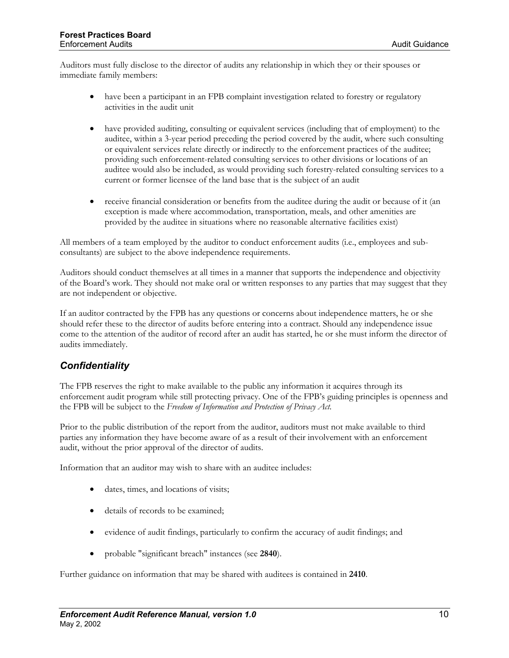Auditors must fully disclose to the director of audits any relationship in which they or their spouses or immediate family members:

- have been a participant in an FPB complaint investigation related to forestry or regulatory activities in the audit unit
- have provided auditing, consulting or equivalent services (including that of employment) to the auditee, within a 3-year period preceding the period covered by the audit, where such consulting or equivalent services relate directly or indirectly to the enforcement practices of the auditee; providing such enforcement-related consulting services to other divisions or locations of an auditee would also be included, as would providing such forestry-related consulting services to a current or former licensee of the land base that is the subject of an audit
- receive financial consideration or benefits from the auditee during the audit or because of it (an exception is made where accommodation, transportation, meals, and other amenities are provided by the auditee in situations where no reasonable alternative facilities exist)

All members of a team employed by the auditor to conduct enforcement audits (i.e., employees and subconsultants) are subject to the above independence requirements.

Auditors should conduct themselves at all times in a manner that supports the independence and objectivity of the Board's work. They should not make oral or written responses to any parties that may suggest that they are not independent or objective.

If an auditor contracted by the FPB has any questions or concerns about independence matters, he or she should refer these to the director of audits before entering into a contract. Should any independence issue come to the attention of the auditor of record after an audit has started, he or she must inform the director of audits immediately.

## *Confidentiality*

The FPB reserves the right to make available to the public any information it acquires through its enforcement audit program while still protecting privacy. One of the FPB's guiding principles is openness and the FPB will be subject to the *Freedom of Information and Protection of Privacy Act*.

Prior to the public distribution of the report from the auditor, auditors must not make available to third parties any information they have become aware of as a result of their involvement with an enforcement audit, without the prior approval of the director of audits.

Information that an auditor may wish to share with an auditee includes:

- dates, times, and locations of visits;
- details of records to be examined;
- evidence of audit findings, particularly to confirm the accuracy of audit findings; and
- probable "significant breach" instances (see **2840**).

Further guidance on information that may be shared with auditees is contained in **2410**.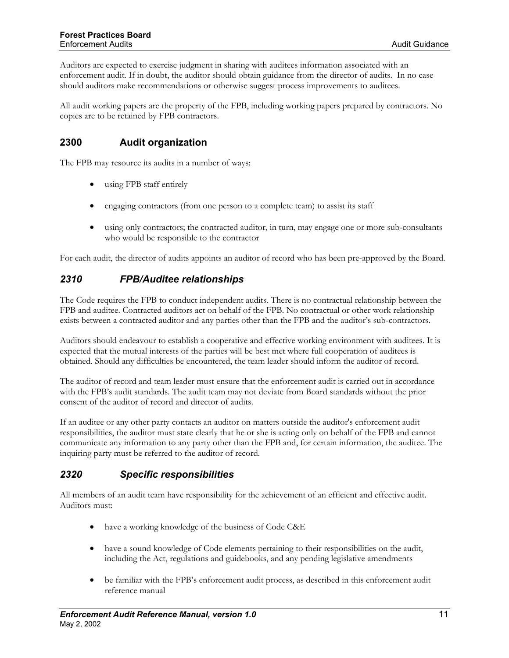<span id="page-15-0"></span>Auditors are expected to exercise judgment in sharing with auditees information associated with an enforcement audit. If in doubt, the auditor should obtain guidance from the director of audits. In no case should auditors make recommendations or otherwise suggest process improvements to auditees.

All audit working papers are the property of the FPB, including working papers prepared by contractors. No copies are to be retained by FPB contractors.

## **2300 Audit organization**

The FPB may resource its audits in a number of ways:

- using FPB staff entirely
- engaging contractors (from one person to a complete team) to assist its staff
- using only contractors; the contracted auditor, in turn, may engage one or more sub-consultants who would be responsible to the contractor

For each audit, the director of audits appoints an auditor of record who has been pre-approved by the Board.

## *2310 FPB/Auditee relationships*

The Code requires the FPB to conduct independent audits. There is no contractual relationship between the FPB and auditee. Contracted auditors act on behalf of the FPB. No contractual or other work relationship exists between a contracted auditor and any parties other than the FPB and the auditor's sub-contractors.

Auditors should endeavour to establish a cooperative and effective working environment with auditees. It is expected that the mutual interests of the parties will be best met where full cooperation of auditees is obtained. Should any difficulties be encountered, the team leader should inform the auditor of record.

The auditor of record and team leader must ensure that the enforcement audit is carried out in accordance with the FPB's audit standards. The audit team may not deviate from Board standards without the prior consent of the auditor of record and director of audits.

If an auditee or any other party contacts an auditor on matters outside the auditor's enforcement audit responsibilities, the auditor must state clearly that he or she is acting only on behalf of the FPB and cannot communicate any information to any party other than the FPB and, for certain information, the auditee. The inquiring party must be referred to the auditor of record.

# *2320 Specific responsibilities*

All members of an audit team have responsibility for the achievement of an efficient and effective audit. Auditors must:

- have a working knowledge of the business of Code C&E
- have a sound knowledge of Code elements pertaining to their responsibilities on the audit, including the Act, regulations and guidebooks, and any pending legislative amendments
- be familiar with the FPB's enforcement audit process, as described in this enforcement audit reference manual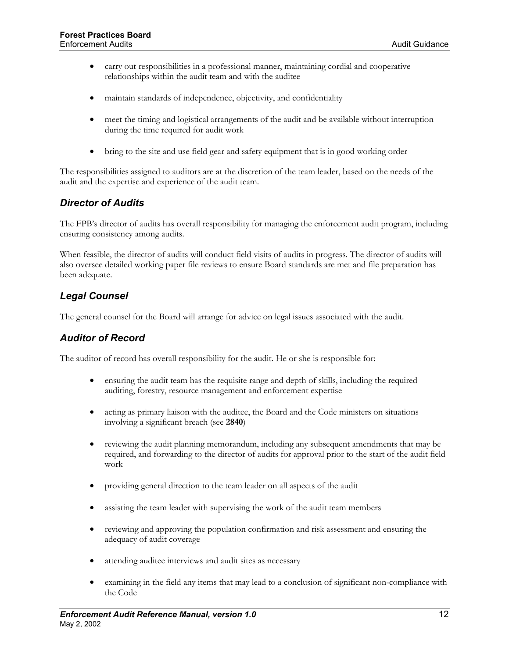- carry out responsibilities in a professional manner, maintaining cordial and cooperative relationships within the audit team and with the auditee
- maintain standards of independence, objectivity, and confidentiality
- meet the timing and logistical arrangements of the audit and be available without interruption during the time required for audit work
- bring to the site and use field gear and safety equipment that is in good working order

The responsibilities assigned to auditors are at the discretion of the team leader, based on the needs of the audit and the expertise and experience of the audit team.

#### *Director of Audits*

The FPB's director of audits has overall responsibility for managing the enforcement audit program, including ensuring consistency among audits.

When feasible, the director of audits will conduct field visits of audits in progress. The director of audits will also oversee detailed working paper file reviews to ensure Board standards are met and file preparation has been adequate.

#### *Legal Counsel*

The general counsel for the Board will arrange for advice on legal issues associated with the audit.

#### *Auditor of Record*

The auditor of record has overall responsibility for the audit. He or she is responsible for:

- ensuring the audit team has the requisite range and depth of skills, including the required auditing, forestry, resource management and enforcement expertise
- acting as primary liaison with the auditee, the Board and the Code ministers on situations involving a significant breach (see **2840**)
- reviewing the audit planning memorandum, including any subsequent amendments that may be required, and forwarding to the director of audits for approval prior to the start of the audit field work
- providing general direction to the team leader on all aspects of the audit
- assisting the team leader with supervising the work of the audit team members
- reviewing and approving the population confirmation and risk assessment and ensuring the adequacy of audit coverage
- attending auditee interviews and audit sites as necessary
- examining in the field any items that may lead to a conclusion of significant non-compliance with the Code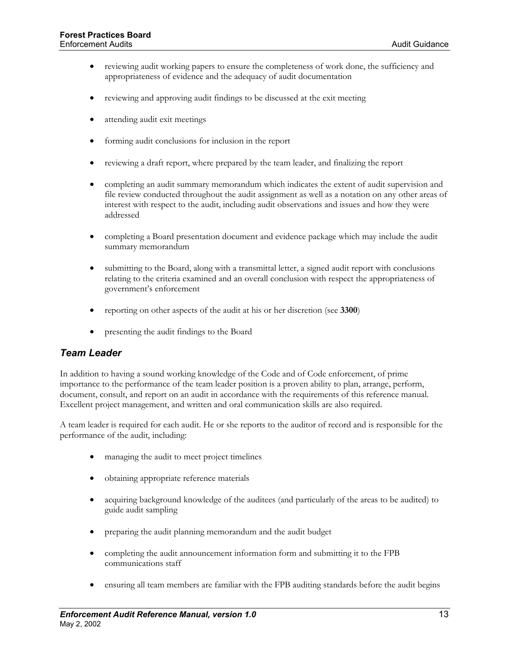- reviewing audit working papers to ensure the completeness of work done, the sufficiency and appropriateness of evidence and the adequacy of audit documentation
- reviewing and approving audit findings to be discussed at the exit meeting
- attending audit exit meetings
- forming audit conclusions for inclusion in the report
- reviewing a draft report, where prepared by the team leader, and finalizing the report
- completing an audit summary memorandum which indicates the extent of audit supervision and file review conducted throughout the audit assignment as well as a notation on any other areas of interest with respect to the audit, including audit observations and issues and how they were addressed
- completing a Board presentation document and evidence package which may include the audit summary memorandum
- submitting to the Board, along with a transmittal letter, a signed audit report with conclusions relating to the criteria examined and an overall conclusion with respect the appropriateness of government's enforcement
- reporting on other aspects of the audit at his or her discretion (see **3300**)
- presenting the audit findings to the Board

#### *Team Leader*

In addition to having a sound working knowledge of the Code and of Code enforcement, of prime importance to the performance of the team leader position is a proven ability to plan, arrange, perform, document, consult, and report on an audit in accordance with the requirements of this reference manual. Excellent project management, and written and oral communication skills are also required.

A team leader is required for each audit. He or she reports to the auditor of record and is responsible for the performance of the audit, including:

- managing the audit to meet project timelines
- obtaining appropriate reference materials
- acquiring background knowledge of the auditees (and particularly of the areas to be audited) to guide audit sampling
- preparing the audit planning memorandum and the audit budget
- completing the audit announcement information form and submitting it to the FPB communications staff
- ensuring all team members are familiar with the FPB auditing standards before the audit begins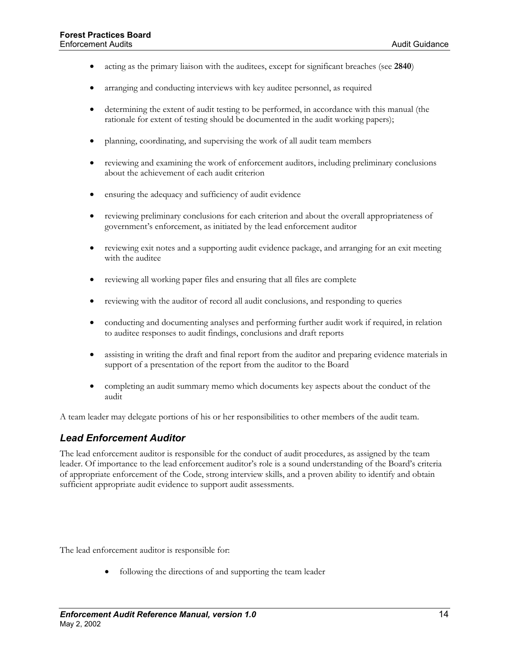- acting as the primary liaison with the auditees, except for significant breaches (see **2840**)
- arranging and conducting interviews with key auditee personnel, as required
- determining the extent of audit testing to be performed, in accordance with this manual (the rationale for extent of testing should be documented in the audit working papers);
- planning, coordinating, and supervising the work of all audit team members
- reviewing and examining the work of enforcement auditors, including preliminary conclusions about the achievement of each audit criterion
- ensuring the adequacy and sufficiency of audit evidence
- reviewing preliminary conclusions for each criterion and about the overall appropriateness of government's enforcement, as initiated by the lead enforcement auditor
- reviewing exit notes and a supporting audit evidence package, and arranging for an exit meeting with the auditee
- reviewing all working paper files and ensuring that all files are complete
- reviewing with the auditor of record all audit conclusions, and responding to queries
- conducting and documenting analyses and performing further audit work if required, in relation to auditee responses to audit findings, conclusions and draft reports
- assisting in writing the draft and final report from the auditor and preparing evidence materials in support of a presentation of the report from the auditor to the Board
- completing an audit summary memo which documents key aspects about the conduct of the audit

A team leader may delegate portions of his or her responsibilities to other members of the audit team.

#### *Lead Enforcement Auditor*

The lead enforcement auditor is responsible for the conduct of audit procedures, as assigned by the team leader. Of importance to the lead enforcement auditor's role is a sound understanding of the Board's criteria of appropriate enforcement of the Code, strong interview skills, and a proven ability to identify and obtain sufficient appropriate audit evidence to support audit assessments.

The lead enforcement auditor is responsible for:

following the directions of and supporting the team leader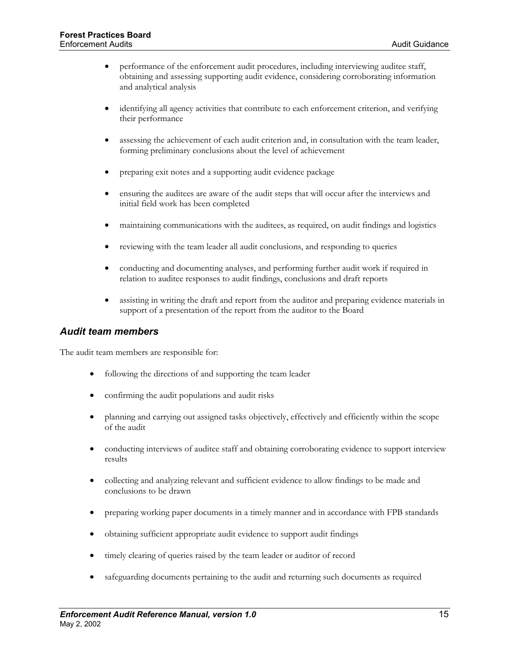- performance of the enforcement audit procedures, including interviewing auditee staff, obtaining and assessing supporting audit evidence, considering corroborating information and analytical analysis
- identifying all agency activities that contribute to each enforcement criterion, and verifying their performance
- assessing the achievement of each audit criterion and, in consultation with the team leader, forming preliminary conclusions about the level of achievement
- preparing exit notes and a supporting audit evidence package
- ensuring the auditees are aware of the audit steps that will occur after the interviews and initial field work has been completed
- maintaining communications with the auditees, as required, on audit findings and logistics
- reviewing with the team leader all audit conclusions, and responding to queries
- conducting and documenting analyses, and performing further audit work if required in relation to auditee responses to audit findings, conclusions and draft reports
- assisting in writing the draft and report from the auditor and preparing evidence materials in support of a presentation of the report from the auditor to the Board

#### *Audit team members*

The audit team members are responsible for:

- following the directions of and supporting the team leader
- confirming the audit populations and audit risks
- planning and carrying out assigned tasks objectively, effectively and efficiently within the scope of the audit
- conducting interviews of auditee staff and obtaining corroborating evidence to support interview results
- collecting and analyzing relevant and sufficient evidence to allow findings to be made and conclusions to be drawn
- preparing working paper documents in a timely manner and in accordance with FPB standards
- obtaining sufficient appropriate audit evidence to support audit findings
- timely clearing of queries raised by the team leader or auditor of record
- safeguarding documents pertaining to the audit and returning such documents as required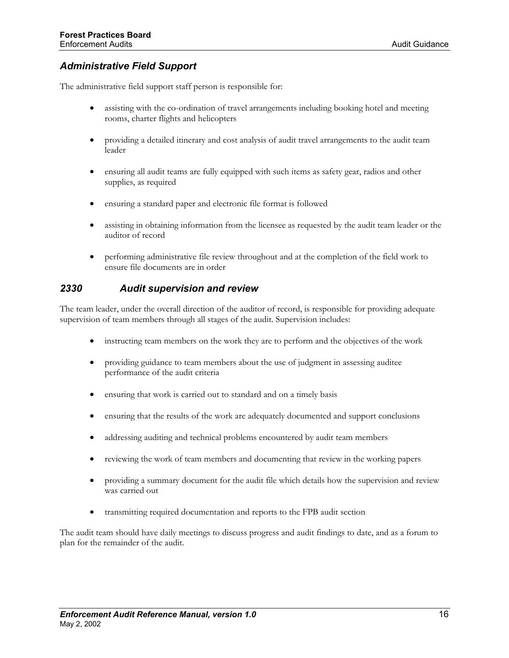## <span id="page-20-0"></span>*Administrative Field Support*

The administrative field support staff person is responsible for:

- assisting with the co-ordination of travel arrangements including booking hotel and meeting rooms, charter flights and helicopters
- providing a detailed itinerary and cost analysis of audit travel arrangements to the audit team leader
- ensuring all audit teams are fully equipped with such items as safety gear, radios and other supplies, as required
- ensuring a standard paper and electronic file format is followed
- assisting in obtaining information from the licensee as requested by the audit team leader or the auditor of record
- performing administrative file review throughout and at the completion of the field work to ensure file documents are in order

#### *2330 Audit supervision and review*

The team leader, under the overall direction of the auditor of record, is responsible for providing adequate supervision of team members through all stages of the audit. Supervision includes:

- instructing team members on the work they are to perform and the objectives of the work
- providing guidance to team members about the use of judgment in assessing auditee performance of the audit criteria
- ensuring that work is carried out to standard and on a timely basis
- ensuring that the results of the work are adequately documented and support conclusions
- addressing auditing and technical problems encountered by audit team members
- reviewing the work of team members and documenting that review in the working papers
- providing a summary document for the audit file which details how the supervision and review was carried out
- transmitting required documentation and reports to the FPB audit section

The audit team should have daily meetings to discuss progress and audit findings to date, and as a forum to plan for the remainder of the audit.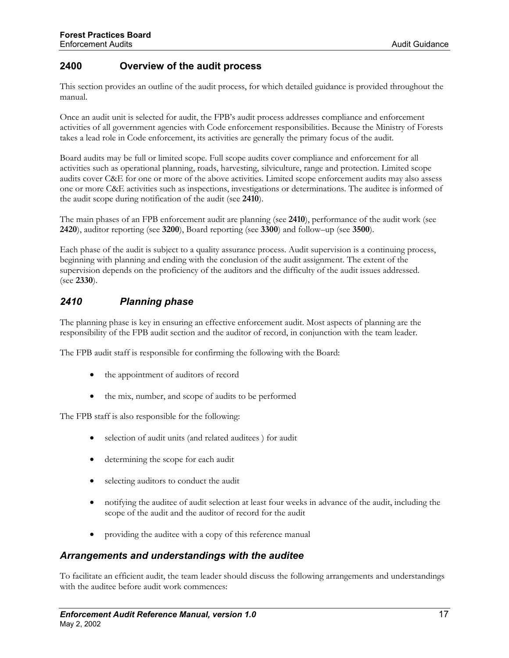## <span id="page-21-0"></span>**2400 Overview of the audit process**

This section provides an outline of the audit process, for which detailed guidance is provided throughout the manual.

Once an audit unit is selected for audit, the FPB's audit process addresses compliance and enforcement activities of all government agencies with Code enforcement responsibilities. Because the Ministry of Forests takes a lead role in Code enforcement, its activities are generally the primary focus of the audit.

Board audits may be full or limited scope. Full scope audits cover compliance and enforcement for all activities such as operational planning, roads, harvesting, silviculture, range and protection. Limited scope audits cover C&E for one or more of the above activities. Limited scope enforcement audits may also assess one or more C&E activities such as inspections, investigations or determinations. The auditee is informed of the audit scope during notification of the audit (see **2410**).

The main phases of an FPB enforcement audit are planning (see **2410**), performance of the audit work (see **2420**), auditor reporting (see **3200**), Board reporting (see **3300**) and follow–up (see **3500**).

Each phase of the audit is subject to a quality assurance process. Audit supervision is a continuing process, beginning with planning and ending with the conclusion of the audit assignment. The extent of the supervision depends on the proficiency of the auditors and the difficulty of the audit issues addressed. (see **2330**).

## *2410 Planning phase*

The planning phase is key in ensuring an effective enforcement audit. Most aspects of planning are the responsibility of the FPB audit section and the auditor of record, in conjunction with the team leader.

The FPB audit staff is responsible for confirming the following with the Board:

- the appointment of auditors of record
- the mix, number, and scope of audits to be performed

The FPB staff is also responsible for the following:

- selection of audit units (and related auditees ) for audit
- determining the scope for each audit
- selecting auditors to conduct the audit
- notifying the auditee of audit selection at least four weeks in advance of the audit, including the scope of the audit and the auditor of record for the audit
- providing the auditee with a copy of this reference manual

#### *Arrangements and understandings with the auditee*

To facilitate an efficient audit, the team leader should discuss the following arrangements and understandings with the auditee before audit work commences: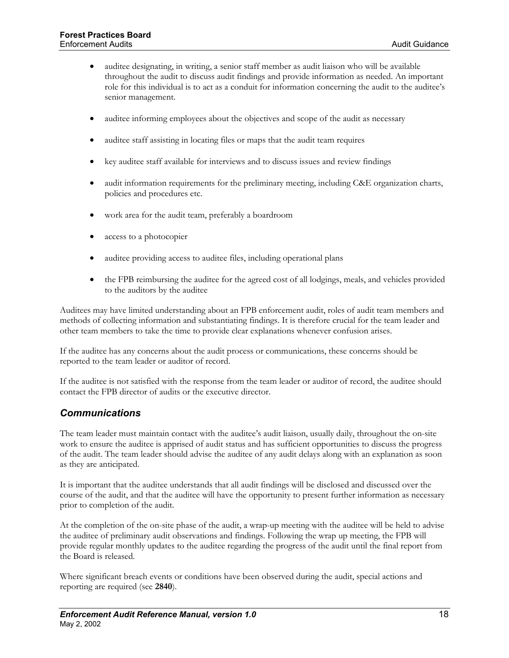- auditee designating, in writing, a senior staff member as audit liaison who will be available throughout the audit to discuss audit findings and provide information as needed. An important role for this individual is to act as a conduit for information concerning the audit to the auditee's senior management.
- auditee informing employees about the objectives and scope of the audit as necessary
- auditee staff assisting in locating files or maps that the audit team requires
- key auditee staff available for interviews and to discuss issues and review findings
- audit information requirements for the preliminary meeting, including C&E organization charts, policies and procedures etc.
- work area for the audit team, preferably a boardroom
- access to a photocopier
- auditee providing access to auditee files, including operational plans
- the FPB reimbursing the auditee for the agreed cost of all lodgings, meals, and vehicles provided to the auditors by the auditee

Auditees may have limited understanding about an FPB enforcement audit, roles of audit team members and methods of collecting information and substantiating findings. It is therefore crucial for the team leader and other team members to take the time to provide clear explanations whenever confusion arises.

If the auditee has any concerns about the audit process or communications, these concerns should be reported to the team leader or auditor of record.

If the auditee is not satisfied with the response from the team leader or auditor of record, the auditee should contact the FPB director of audits or the executive director.

#### *Communications*

The team leader must maintain contact with the auditee's audit liaison, usually daily, throughout the on-site work to ensure the auditee is apprised of audit status and has sufficient opportunities to discuss the progress of the audit. The team leader should advise the auditee of any audit delays along with an explanation as soon as they are anticipated.

It is important that the auditee understands that all audit findings will be disclosed and discussed over the course of the audit, and that the auditee will have the opportunity to present further information as necessary prior to completion of the audit.

At the completion of the on-site phase of the audit, a wrap-up meeting with the auditee will be held to advise the auditee of preliminary audit observations and findings. Following the wrap up meeting, the FPB will provide regular monthly updates to the auditee regarding the progress of the audit until the final report from the Board is released.

Where significant breach events or conditions have been observed during the audit, special actions and reporting are required (see **2840**).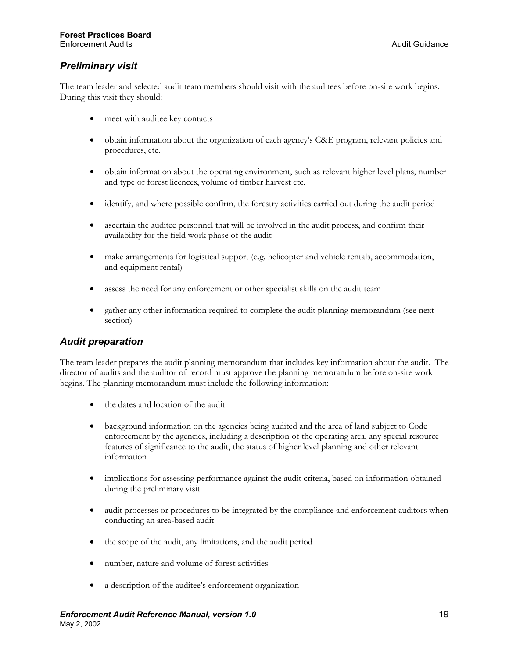## *Preliminary visit*

The team leader and selected audit team members should visit with the auditees before on-site work begins. During this visit they should:

- meet with auditee key contacts
- obtain information about the organization of each agency's C&E program, relevant policies and procedures, etc.
- obtain information about the operating environment, such as relevant higher level plans, number and type of forest licences, volume of timber harvest etc.
- identify, and where possible confirm, the forestry activities carried out during the audit period
- ascertain the auditee personnel that will be involved in the audit process, and confirm their availability for the field work phase of the audit
- make arrangements for logistical support (e.g. helicopter and vehicle rentals, accommodation, and equipment rental)
- assess the need for any enforcement or other specialist skills on the audit team
- gather any other information required to complete the audit planning memorandum (see next section)

#### *Audit preparation*

The team leader prepares the audit planning memorandum that includes key information about the audit. The director of audits and the auditor of record must approve the planning memorandum before on-site work begins. The planning memorandum must include the following information:

- the dates and location of the audit
- background information on the agencies being audited and the area of land subject to Code enforcement by the agencies, including a description of the operating area, any special resource features of significance to the audit, the status of higher level planning and other relevant information
- implications for assessing performance against the audit criteria, based on information obtained during the preliminary visit
- audit processes or procedures to be integrated by the compliance and enforcement auditors when conducting an area-based audit
- the scope of the audit, any limitations, and the audit period
- number, nature and volume of forest activities
- a description of the auditee's enforcement organization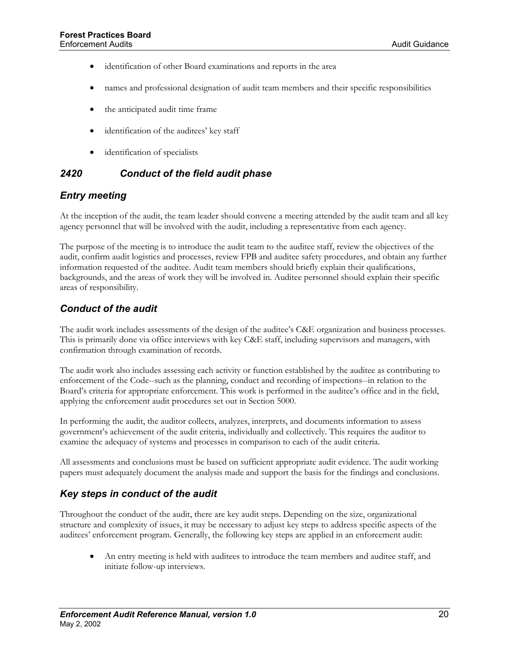- <span id="page-24-0"></span>• identification of other Board examinations and reports in the area
- names and professional designation of audit team members and their specific responsibilities
- the anticipated audit time frame
- identification of the auditees' key staff
- identification of specialists

## *2420 Conduct of the field audit phase*

#### *Entry meeting*

At the inception of the audit, the team leader should convene a meeting attended by the audit team and all key agency personnel that will be involved with the audit, including a representative from each agency.

The purpose of the meeting is to introduce the audit team to the auditee staff, review the objectives of the audit, confirm audit logistics and processes, review FPB and auditee safety procedures, and obtain any further information requested of the auditee. Audit team members should briefly explain their qualifications, backgrounds, and the areas of work they will be involved in. Auditee personnel should explain their specific areas of responsibility.

#### *Conduct of the audit*

The audit work includes assessments of the design of the auditee's C&E organization and business processes. This is primarily done via office interviews with key C&E staff, including supervisors and managers, with confirmation through examination of records.

The audit work also includes assessing each activity or function established by the auditee as contributing to enforcement of the Code--such as the planning, conduct and recording of inspections--in relation to the Board's criteria for appropriate enforcement. This work is performed in the auditee's office and in the field, applying the enforcement audit procedures set out in Section 5000.

In performing the audit, the auditor collects, analyzes, interprets, and documents information to assess government's achievement of the audit criteria, individually and collectively. This requires the auditor to examine the adequacy of systems and processes in comparison to each of the audit criteria.

All assessments and conclusions must be based on sufficient appropriate audit evidence. The audit working papers must adequately document the analysis made and support the basis for the findings and conclusions.

## *Key steps in conduct of the audit*

Throughout the conduct of the audit, there are key audit steps. Depending on the size, organizational structure and complexity of issues, it may be necessary to adjust key steps to address specific aspects of the auditees' enforcement program. Generally, the following key steps are applied in an enforcement audit:

• An entry meeting is held with auditees to introduce the team members and auditee staff, and initiate follow-up interviews.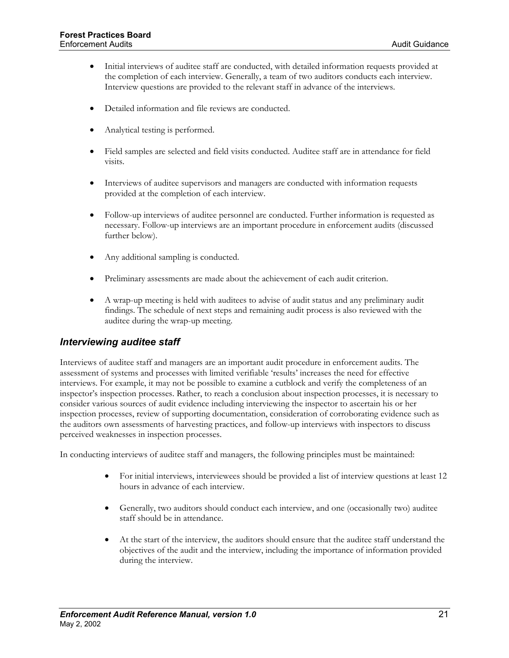- Initial interviews of auditee staff are conducted, with detailed information requests provided at the completion of each interview. Generally, a team of two auditors conducts each interview. Interview questions are provided to the relevant staff in advance of the interviews.
- Detailed information and file reviews are conducted.
- Analytical testing is performed.
- Field samples are selected and field visits conducted. Auditee staff are in attendance for field visits.
- Interviews of auditee supervisors and managers are conducted with information requests provided at the completion of each interview.
- Follow-up interviews of auditee personnel are conducted. Further information is requested as necessary. Follow-up interviews are an important procedure in enforcement audits (discussed further below).
- Any additional sampling is conducted.
- Preliminary assessments are made about the achievement of each audit criterion.
- A wrap-up meeting is held with auditees to advise of audit status and any preliminary audit findings. The schedule of next steps and remaining audit process is also reviewed with the auditee during the wrap-up meeting.

#### *Interviewing auditee staff*

Interviews of auditee staff and managers are an important audit procedure in enforcement audits. The assessment of systems and processes with limited verifiable 'results' increases the need for effective interviews. For example, it may not be possible to examine a cutblock and verify the completeness of an inspector's inspection processes. Rather, to reach a conclusion about inspection processes, it is necessary to consider various sources of audit evidence including interviewing the inspector to ascertain his or her inspection processes, review of supporting documentation, consideration of corroborating evidence such as the auditors own assessments of harvesting practices, and follow-up interviews with inspectors to discuss perceived weaknesses in inspection processes.

In conducting interviews of auditee staff and managers, the following principles must be maintained:

- For initial interviews, interviewees should be provided a list of interview questions at least 12 hours in advance of each interview.
- Generally, two auditors should conduct each interview, and one (occasionally two) auditee staff should be in attendance.
- At the start of the interview, the auditors should ensure that the auditee staff understand the objectives of the audit and the interview, including the importance of information provided during the interview.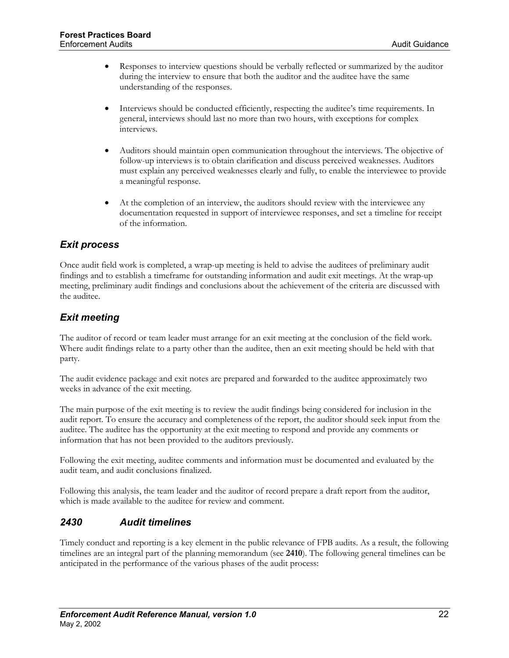- <span id="page-26-0"></span>• Responses to interview questions should be verbally reflected or summarized by the auditor during the interview to ensure that both the auditor and the auditee have the same understanding of the responses.
- Interviews should be conducted efficiently, respecting the auditee's time requirements. In general, interviews should last no more than two hours, with exceptions for complex interviews.
- Auditors should maintain open communication throughout the interviews. The objective of follow-up interviews is to obtain clarification and discuss perceived weaknesses. Auditors must explain any perceived weaknesses clearly and fully, to enable the interviewee to provide a meaningful response.
- At the completion of an interview, the auditors should review with the interviewee any documentation requested in support of interviewee responses, and set a timeline for receipt of the information.

## *Exit process*

Once audit field work is completed, a wrap-up meeting is held to advise the auditees of preliminary audit findings and to establish a timeframe for outstanding information and audit exit meetings. At the wrap-up meeting, preliminary audit findings and conclusions about the achievement of the criteria are discussed with the auditee.

# *Exit meeting*

The auditor of record or team leader must arrange for an exit meeting at the conclusion of the field work. Where audit findings relate to a party other than the auditee, then an exit meeting should be held with that party.

The audit evidence package and exit notes are prepared and forwarded to the auditee approximately two weeks in advance of the exit meeting.

The main purpose of the exit meeting is to review the audit findings being considered for inclusion in the audit report. To ensure the accuracy and completeness of the report, the auditor should seek input from the auditee. The auditee has the opportunity at the exit meeting to respond and provide any comments or information that has not been provided to the auditors previously.

Following the exit meeting, auditee comments and information must be documented and evaluated by the audit team, and audit conclusions finalized.

Following this analysis, the team leader and the auditor of record prepare a draft report from the auditor, which is made available to the auditee for review and comment.

## *2430 Audit timelines*

Timely conduct and reporting is a key element in the public relevance of FPB audits. As a result, the following timelines are an integral part of the planning memorandum (see **2410**). The following general timelines can be anticipated in the performance of the various phases of the audit process: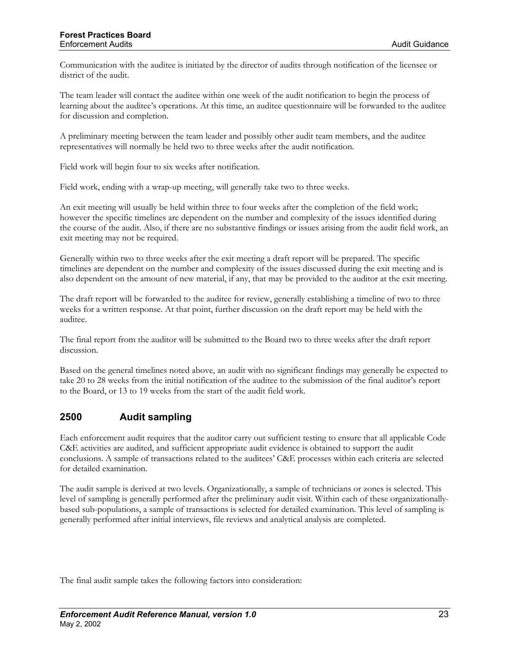<span id="page-27-0"></span>Communication with the auditee is initiated by the director of audits through notification of the licensee or district of the audit.

The team leader will contact the auditee within one week of the audit notification to begin the process of learning about the auditee's operations. At this time, an auditee questionnaire will be forwarded to the auditee for discussion and completion.

A preliminary meeting between the team leader and possibly other audit team members, and the auditee representatives will normally be held two to three weeks after the audit notification.

Field work will begin four to six weeks after notification.

Field work, ending with a wrap-up meeting, will generally take two to three weeks.

An exit meeting will usually be held within three to four weeks after the completion of the field work; however the specific timelines are dependent on the number and complexity of the issues identified during the course of the audit. Also, if there are no substantive findings or issues arising from the audit field work, an exit meeting may not be required.

Generally within two to three weeks after the exit meeting a draft report will be prepared. The specific timelines are dependent on the number and complexity of the issues discussed during the exit meeting and is also dependent on the amount of new material, if any, that may be provided to the auditor at the exit meeting.

The draft report will be forwarded to the auditee for review, generally establishing a timeline of two to three weeks for a written response. At that point, further discussion on the draft report may be held with the auditee.

The final report from the auditor will be submitted to the Board two to three weeks after the draft report discussion.

Based on the general timelines noted above, an audit with no significant findings may generally be expected to take 20 to 28 weeks from the initial notification of the auditee to the submission of the final auditor's report to the Board, or 13 to 19 weeks from the start of the audit field work.

#### **2500 Audit sampling**

Each enforcement audit requires that the auditor carry out sufficient testing to ensure that all applicable Code C&E activities are audited, and sufficient appropriate audit evidence is obtained to support the audit conclusions. A sample of transactions related to the auditees' C&E processes within each criteria are selected for detailed examination.

The audit sample is derived at two levels. Organizationally, a sample of technicians or zones is selected. This level of sampling is generally performed after the preliminary audit visit. Within each of these organizationallybased sub-populations, a sample of transactions is selected for detailed examination. This level of sampling is generally performed after initial interviews, file reviews and analytical analysis are completed.

The final audit sample takes the following factors into consideration: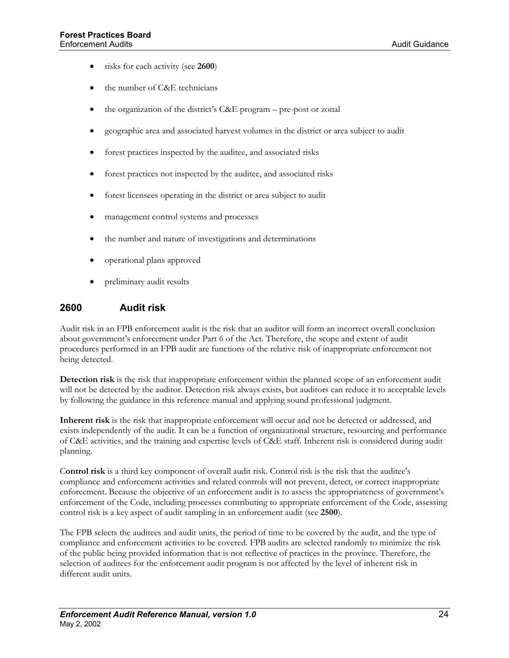- <span id="page-28-0"></span>• risks for each activity (see **2600**)
- the number of C&E technicians
- the organization of the district's C&E program pre-post or zonal
- geographic area and associated harvest volumes in the district or area subject to audit
- forest practices inspected by the auditee, and associated risks
- forest practices not inspected by the auditee, and associated risks
- forest licensees operating in the district or area subject to audit
- management control systems and processes
- the number and nature of investigations and determinations
- operational plans approved
- preliminary audit results

#### **2600 Audit risk**

Audit risk in an FPB enforcement audit is the risk that an auditor will form an incorrect overall conclusion about government's enforcement under Part 6 of the Act. Therefore, the scope and extent of audit procedures performed in an FPB audit are functions of the relative risk of inappropriate enforcement not being detected.

**Detection risk** is the risk that inappropriate enforcement within the planned scope of an enforcement audit will not be detected by the auditor. Detection risk always exists, but auditors can reduce it to acceptable levels by following the guidance in this reference manual and applying sound professional judgment.

**Inherent risk** is the risk that inappropriate enforcement will occur and not be detected or addressed, and exists independently of the audit. It can be a function of organizational structure, resourcing and performance of C&E activities, and the training and expertise levels of C&E staff. Inherent risk is considered during audit planning.

C**ontrol risk** is a third key component of overall audit risk. Control risk is the risk that the auditee's compliance and enforcement activities and related controls will not prevent, detect, or correct inappropriate enforcement. Because the objective of an enforcement audit is to assess the appropriateness of government's enforcement of the Code, including processes contributing to appropriate enforcement of the Code, assessing control risk is a key aspect of audit sampling in an enforcement audit (see **2500**).

The FPB selects the auditees and audit units, the period of time to be covered by the audit, and the type of compliance and enforcement activities to be covered. FPB audits are selected randomly to minimize the risk of the public being provided information that is not reflective of practices in the province. Therefore, the selection of auditees for the enforcement audit program is not affected by the level of inherent risk in different audit units.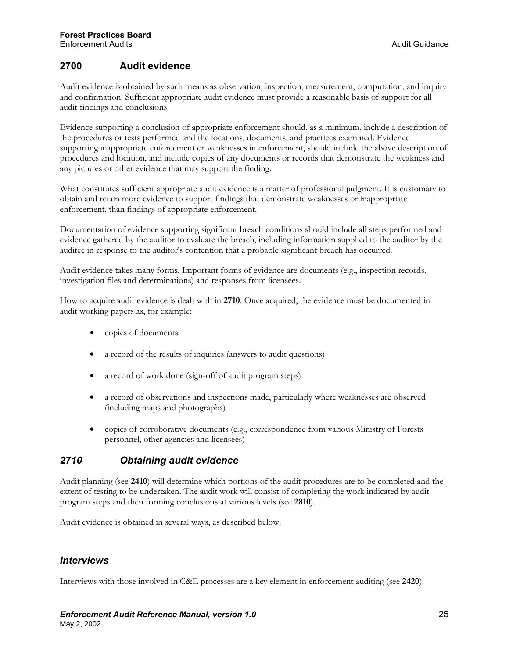## <span id="page-29-0"></span>**2700 Audit evidence**

Audit evidence is obtained by such means as observation, inspection, measurement, computation, and inquiry and confirmation. Sufficient appropriate audit evidence must provide a reasonable basis of support for all audit findings and conclusions.

Evidence supporting a conclusion of appropriate enforcement should, as a minimum, include a description of the procedures or tests performed and the locations, documents, and practices examined. Evidence supporting inappropriate enforcement or weaknesses in enforcement, should include the above description of procedures and location, and include copies of any documents or records that demonstrate the weakness and any pictures or other evidence that may support the finding.

What constitutes sufficient appropriate audit evidence is a matter of professional judgment. It is customary to obtain and retain more evidence to support findings that demonstrate weaknesses or inappropriate enforcement, than findings of appropriate enforcement.

Documentation of evidence supporting significant breach conditions should include all steps performed and evidence gathered by the auditor to evaluate the breach, including information supplied to the auditor by the auditee in response to the auditor's contention that a probable significant breach has occurred.

Audit evidence takes many forms. Important forms of evidence are documents (e.g., inspection records, investigation files and determinations) and responses from licensees.

How to acquire audit evidence is dealt with in **2710**. Once acquired, the evidence must be documented in audit working papers as, for example:

- copies of documents
- a record of the results of inquiries (answers to audit questions)
- a record of work done (sign-off of audit program steps)
- a record of observations and inspections made, particularly where weaknesses are observed (including maps and photographs)
- copies of corroborative documents (e.g., correspondence from various Ministry of Forests personnel, other agencies and licensees)

#### *2710 Obtaining audit evidence*

Audit planning (see **2410**) will determine which portions of the audit procedures are to be completed and the extent of testing to be undertaken. The audit work will consist of completing the work indicated by audit program steps and then forming conclusions at various levels (see **2810**).

Audit evidence is obtained in several ways, as described below.

#### *Interviews*

Interviews with those involved in C&E processes are a key element in enforcement auditing (see **2420**).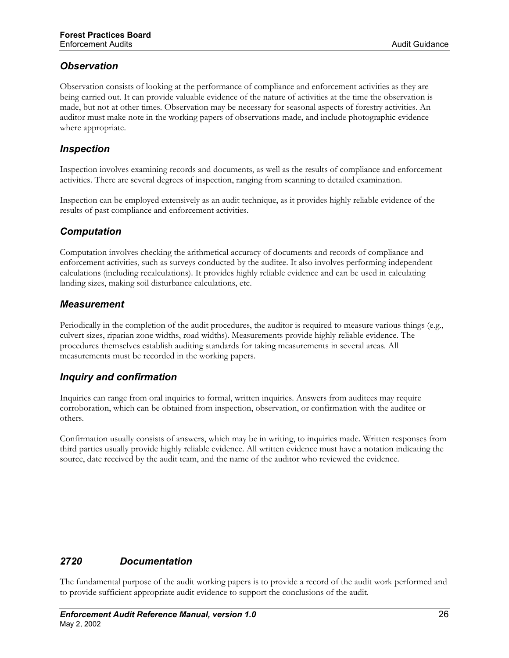## <span id="page-30-0"></span>*Observation*

Observation consists of looking at the performance of compliance and enforcement activities as they are being carried out. It can provide valuable evidence of the nature of activities at the time the observation is made, but not at other times. Observation may be necessary for seasonal aspects of forestry activities. An auditor must make note in the working papers of observations made, and include photographic evidence where appropriate.

#### *Inspection*

Inspection involves examining records and documents, as well as the results of compliance and enforcement activities. There are several degrees of inspection, ranging from scanning to detailed examination.

Inspection can be employed extensively as an audit technique, as it provides highly reliable evidence of the results of past compliance and enforcement activities.

#### *Computation*

Computation involves checking the arithmetical accuracy of documents and records of compliance and enforcement activities, such as surveys conducted by the auditee. It also involves performing independent calculations (including recalculations). It provides highly reliable evidence and can be used in calculating landing sizes, making soil disturbance calculations, etc.

#### *Measurement*

Periodically in the completion of the audit procedures, the auditor is required to measure various things (e.g., culvert sizes, riparian zone widths, road widths). Measurements provide highly reliable evidence. The procedures themselves establish auditing standards for taking measurements in several areas. All measurements must be recorded in the working papers.

## *Inquiry and confirmation*

Inquiries can range from oral inquiries to formal, written inquiries. Answers from auditees may require corroboration, which can be obtained from inspection, observation, or confirmation with the auditee or others.

Confirmation usually consists of answers, which may be in writing, to inquiries made. Written responses from third parties usually provide highly reliable evidence. All written evidence must have a notation indicating the source, date received by the audit team, and the name of the auditor who reviewed the evidence.

# *2720 Documentation*

The fundamental purpose of the audit working papers is to provide a record of the audit work performed and to provide sufficient appropriate audit evidence to support the conclusions of the audit.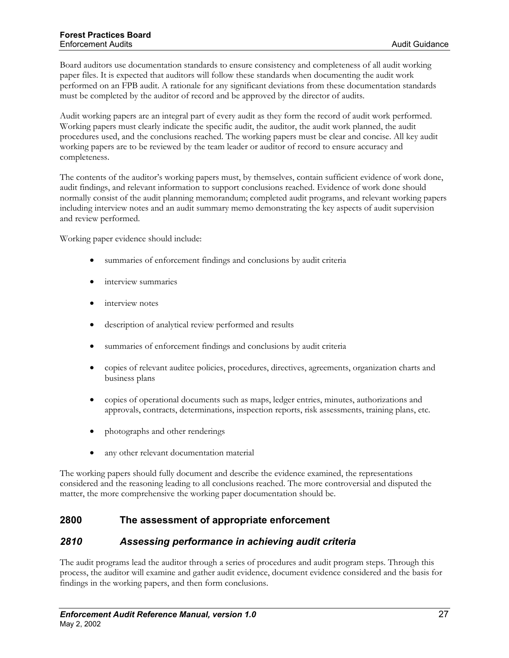<span id="page-31-0"></span>Board auditors use documentation standards to ensure consistency and completeness of all audit working paper files. It is expected that auditors will follow these standards when documenting the audit work performed on an FPB audit. A rationale for any significant deviations from these documentation standards must be completed by the auditor of record and be approved by the director of audits.

Audit working papers are an integral part of every audit as they form the record of audit work performed. Working papers must clearly indicate the specific audit, the auditor, the audit work planned, the audit procedures used, and the conclusions reached. The working papers must be clear and concise. All key audit working papers are to be reviewed by the team leader or auditor of record to ensure accuracy and completeness.

The contents of the auditor's working papers must, by themselves, contain sufficient evidence of work done, audit findings, and relevant information to support conclusions reached. Evidence of work done should normally consist of the audit planning memorandum; completed audit programs, and relevant working papers including interview notes and an audit summary memo demonstrating the key aspects of audit supervision and review performed.

Working paper evidence should include:

- summaries of enforcement findings and conclusions by audit criteria
- interview summaries
- interview notes
- description of analytical review performed and results
- summaries of enforcement findings and conclusions by audit criteria
- copies of relevant auditee policies, procedures, directives, agreements, organization charts and business plans
- copies of operational documents such as maps, ledger entries, minutes, authorizations and approvals, contracts, determinations, inspection reports, risk assessments, training plans, etc.
- photographs and other renderings
- any other relevant documentation material

The working papers should fully document and describe the evidence examined, the representations considered and the reasoning leading to all conclusions reached. The more controversial and disputed the matter, the more comprehensive the working paper documentation should be.

## **2800 The assessment of appropriate enforcement**

#### *2810 Assessing performance in achieving audit criteria*

The audit programs lead the auditor through a series of procedures and audit program steps. Through this process, the auditor will examine and gather audit evidence, document evidence considered and the basis for findings in the working papers, and then form conclusions.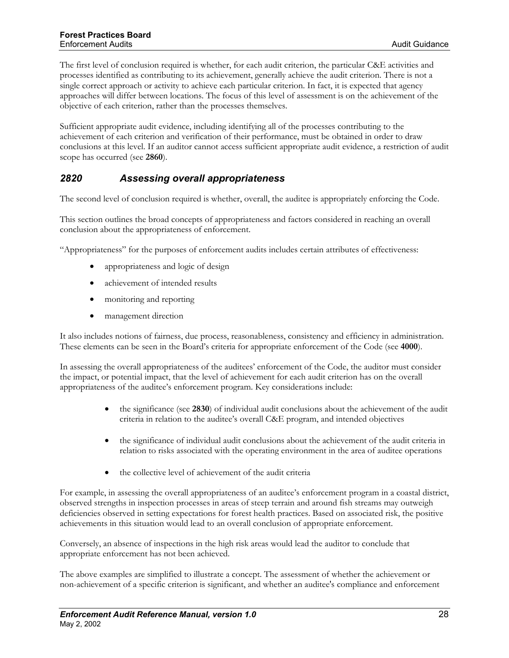<span id="page-32-0"></span>The first level of conclusion required is whether, for each audit criterion, the particular C&E activities and processes identified as contributing to its achievement, generally achieve the audit criterion. There is not a single correct approach or activity to achieve each particular criterion. In fact, it is expected that agency approaches will differ between locations. The focus of this level of assessment is on the achievement of the objective of each criterion, rather than the processes themselves.

Sufficient appropriate audit evidence, including identifying all of the processes contributing to the achievement of each criterion and verification of their performance, must be obtained in order to draw conclusions at this level. If an auditor cannot access sufficient appropriate audit evidence, a restriction of audit scope has occurred (see **2860**).

## *2820 Assessing overall appropriateness*

The second level of conclusion required is whether, overall, the auditee is appropriately enforcing the Code.

This section outlines the broad concepts of appropriateness and factors considered in reaching an overall conclusion about the appropriateness of enforcement.

"Appropriateness" for the purposes of enforcement audits includes certain attributes of effectiveness:

- appropriateness and logic of design
- achievement of intended results
- monitoring and reporting
- management direction

It also includes notions of fairness, due process, reasonableness, consistency and efficiency in administration. These elements can be seen in the Board's criteria for appropriate enforcement of the Code (see **4000**).

In assessing the overall appropriateness of the auditees' enforcement of the Code, the auditor must consider the impact, or potential impact, that the level of achievement for each audit criterion has on the overall appropriateness of the auditee's enforcement program. Key considerations include:

- the significance (see 2830) of individual audit conclusions about the achievement of the audit criteria in relation to the auditee's overall C&E program, and intended objectives
- the significance of individual audit conclusions about the achievement of the audit criteria in relation to risks associated with the operating environment in the area of auditee operations
- the collective level of achievement of the audit criteria

For example, in assessing the overall appropriateness of an auditee's enforcement program in a coastal district, observed strengths in inspection processes in areas of steep terrain and around fish streams may outweigh deficiencies observed in setting expectations for forest health practices. Based on associated risk, the positive achievements in this situation would lead to an overall conclusion of appropriate enforcement.

Conversely, an absence of inspections in the high risk areas would lead the auditor to conclude that appropriate enforcement has not been achieved.

The above examples are simplified to illustrate a concept. The assessment of whether the achievement or non-achievement of a specific criterion is significant, and whether an auditee's compliance and enforcement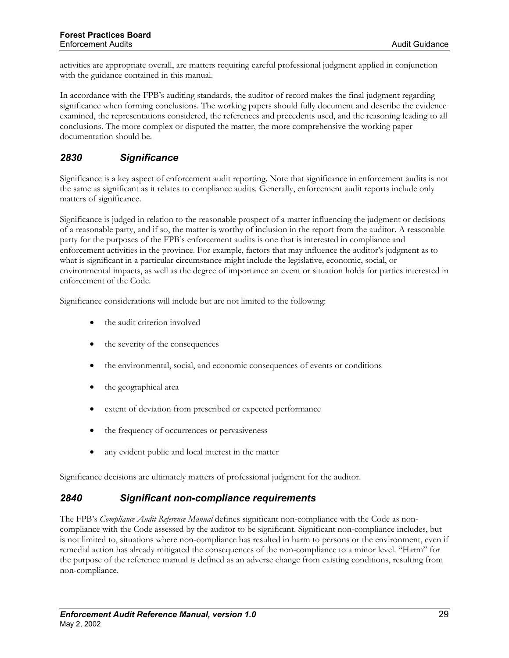<span id="page-33-0"></span>activities are appropriate overall, are matters requiring careful professional judgment applied in conjunction with the guidance contained in this manual.

In accordance with the FPB's auditing standards, the auditor of record makes the final judgment regarding significance when forming conclusions. The working papers should fully document and describe the evidence examined, the representations considered, the references and precedents used, and the reasoning leading to all conclusions. The more complex or disputed the matter, the more comprehensive the working paper documentation should be.

# *2830 Significance*

Significance is a key aspect of enforcement audit reporting. Note that significance in enforcement audits is not the same as significant as it relates to compliance audits. Generally, enforcement audit reports include only matters of significance.

Significance is judged in relation to the reasonable prospect of a matter influencing the judgment or decisions of a reasonable party, and if so, the matter is worthy of inclusion in the report from the auditor. A reasonable party for the purposes of the FPB's enforcement audits is one that is interested in compliance and enforcement activities in the province. For example, factors that may influence the auditor's judgment as to what is significant in a particular circumstance might include the legislative, economic, social, or environmental impacts, as well as the degree of importance an event or situation holds for parties interested in enforcement of the Code.

Significance considerations will include but are not limited to the following:

- the audit criterion involved
- the severity of the consequences
- the environmental, social, and economic consequences of events or conditions
- the geographical area
- extent of deviation from prescribed or expected performance
- the frequency of occurrences or pervasiveness
- any evident public and local interest in the matter

Significance decisions are ultimately matters of professional judgment for the auditor.

#### *2840 Significant non-compliance requirements*

The FPB's *Compliance Audit Reference Manual* defines significant non-compliance with the Code as noncompliance with the Code assessed by the auditor to be significant. Significant non-compliance includes, but is not limited to, situations where non-compliance has resulted in harm to persons or the environment, even if remedial action has already mitigated the consequences of the non-compliance to a minor level. "Harm" for the purpose of the reference manual is defined as an adverse change from existing conditions, resulting from non-compliance.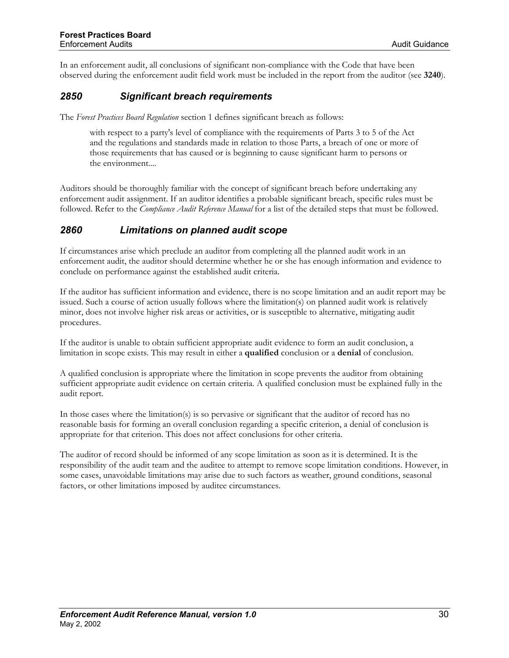<span id="page-34-0"></span>In an enforcement audit, all conclusions of significant non-compliance with the Code that have been observed during the enforcement audit field work must be included in the report from the auditor (see **3240**).

#### *2850 Significant breach requirements*

The *Forest Practices Board Regulation* section 1 defines significant breach as follows:

with respect to a party's level of compliance with the requirements of Parts 3 to 5 of the Act and the regulations and standards made in relation to those Parts, a breach of one or more of those requirements that has caused or is beginning to cause significant harm to persons or the environment....

Auditors should be thoroughly familiar with the concept of significant breach before undertaking any enforcement audit assignment. If an auditor identifies a probable significant breach, specific rules must be followed. Refer to the *Compliance Audit Reference Manual* for a list of the detailed steps that must be followed.

#### *2860 Limitations on planned audit scope*

If circumstances arise which preclude an auditor from completing all the planned audit work in an enforcement audit, the auditor should determine whether he or she has enough information and evidence to conclude on performance against the established audit criteria.

If the auditor has sufficient information and evidence, there is no scope limitation and an audit report may be issued. Such a course of action usually follows where the limitation(s) on planned audit work is relatively minor, does not involve higher risk areas or activities, or is susceptible to alternative, mitigating audit procedures.

If the auditor is unable to obtain sufficient appropriate audit evidence to form an audit conclusion, a limitation in scope exists. This may result in either a **qualified** conclusion or a **denial** of conclusion.

A qualified conclusion is appropriate where the limitation in scope prevents the auditor from obtaining sufficient appropriate audit evidence on certain criteria. A qualified conclusion must be explained fully in the audit report.

In those cases where the limitation(s) is so pervasive or significant that the auditor of record has no reasonable basis for forming an overall conclusion regarding a specific criterion, a denial of conclusion is appropriate for that criterion. This does not affect conclusions for other criteria.

The auditor of record should be informed of any scope limitation as soon as it is determined. It is the responsibility of the audit team and the auditee to attempt to remove scope limitation conditions. However, in some cases, unavoidable limitations may arise due to such factors as weather, ground conditions, seasonal factors, or other limitations imposed by auditee circumstances.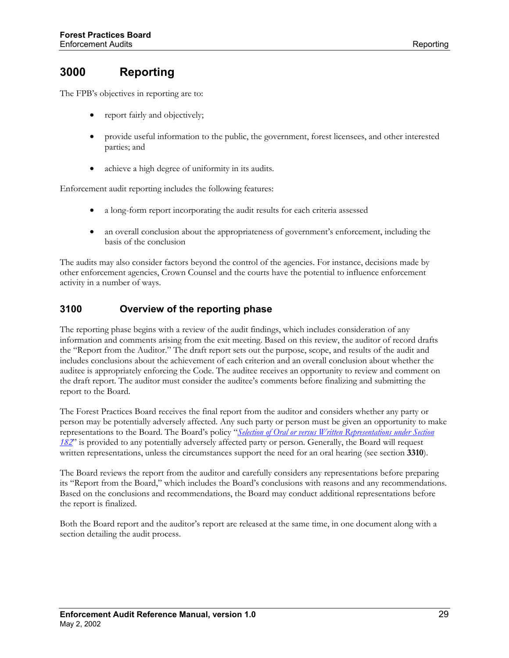# <span id="page-35-0"></span>**3000 Reporting**

The FPB's objectives in reporting are to:

- report fairly and objectively;
- provide useful information to the public, the government, forest licensees, and other interested parties; and
- achieve a high degree of uniformity in its audits.

Enforcement audit reporting includes the following features:

- a long-form report incorporating the audit results for each criteria assessed
- an overall conclusion about the appropriateness of government's enforcement, including the basis of the conclusion

The audits may also consider factors beyond the control of the agencies. For instance, decisions made by other enforcement agencies, Crown Counsel and the courts have the potential to influence enforcement activity in a number of ways.

## **3100 Overview of the reporting phase**

The reporting phase begins with a review of the audit findings, which includes consideration of any information and comments arising from the exit meeting. Based on this review, the auditor of record drafts the "Report from the Auditor." The draft report sets out the purpose, scope, and results of the audit and includes conclusions about the achievement of each criterion and an overall conclusion about whether the auditee is appropriately enforcing the Code. The auditee receives an opportunity to review and comment on the draft report. The auditor must consider the auditee's comments before finalizing and submitting the report to the Board.

The Forest Practices Board receives the final report from the auditor and considers whether any party or person may be potentially adversely affected. Any such party or person must be given an opportunity to make representations to the Board. The Board's policy "*[Selection of Oral or versus Written Representations under Section](http://www.fpb.gov.bc.ca/policy/000817.htm)  [182](http://www.fpb.gov.bc.ca/policy/000817.htm)*" is provided to any potentially adversely affected party or person. Generally, the Board will request written representations, unless the circumstances support the need for an oral hearing (see section **3310**).

The Board reviews the report from the auditor and carefully considers any representations before preparing its "Report from the Board," which includes the Board's conclusions with reasons and any recommendations. Based on the conclusions and recommendations, the Board may conduct additional representations before the report is finalized.

Both the Board report and the auditor's report are released at the same time, in one document along with a section detailing the audit process.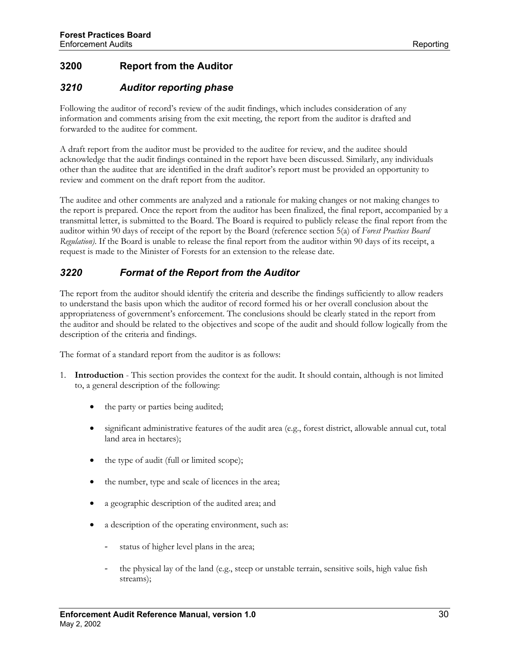# <span id="page-36-0"></span>**3200 Report from the Auditor**

## *3210 Auditor reporting phase*

Following the auditor of record's review of the audit findings, which includes consideration of any information and comments arising from the exit meeting, the report from the auditor is drafted and forwarded to the auditee for comment.

A draft report from the auditor must be provided to the auditee for review, and the auditee should acknowledge that the audit findings contained in the report have been discussed. Similarly, any individuals other than the auditee that are identified in the draft auditor's report must be provided an opportunity to review and comment on the draft report from the auditor.

The auditee and other comments are analyzed and a rationale for making changes or not making changes to the report is prepared. Once the report from the auditor has been finalized, the final report, accompanied by a transmittal letter, is submitted to the Board. The Board is required to publicly release the final report from the auditor within 90 days of receipt of the report by the Board (reference section 5(a) of *Forest Practices Board Regulation)*. If the Board is unable to release the final report from the auditor within 90 days of its receipt, a request is made to the Minister of Forests for an extension to the release date.

## *3220 Format of the Report from the Auditor*

The report from the auditor should identify the criteria and describe the findings sufficiently to allow readers to understand the basis upon which the auditor of record formed his or her overall conclusion about the appropriateness of government's enforcement. The conclusions should be clearly stated in the report from the auditor and should be related to the objectives and scope of the audit and should follow logically from the description of the criteria and findings.

The format of a standard report from the auditor is as follows:

- 1. **Introduction** This section provides the context for the audit. It should contain, although is not limited to, a general description of the following:
	- the party or parties being audited;
	- significant administrative features of the audit area (e.g., forest district, allowable annual cut, total land area in hectares);
	- the type of audit (full or limited scope);
	- the number, type and scale of licences in the area;
	- a geographic description of the audited area; and
	- a description of the operating environment, such as:
		- status of higher level plans in the area;
		- the physical lay of the land (e.g., steep or unstable terrain, sensitive soils, high value fish streams);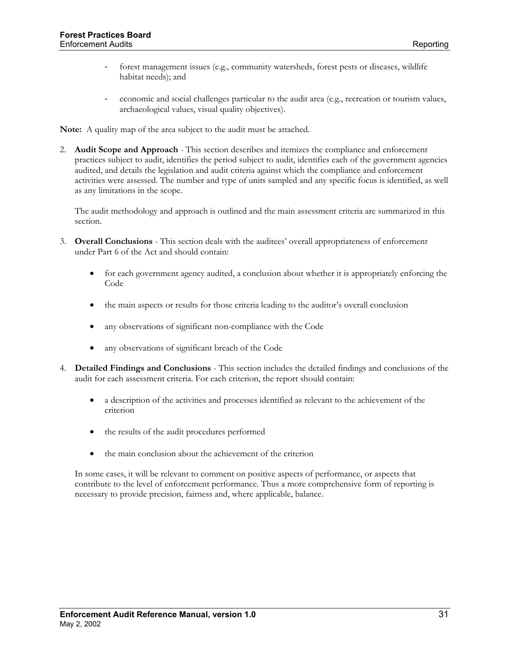- forest management issues (e.g., community watersheds, forest pests or diseases, wildlife habitat needs); and
- economic and social challenges particular to the audit area (e.g., recreation or tourism values, archaeological values, visual quality objectives).

**Note:** A quality map of the area subject to the audit must be attached.

2. **Audit Scope and Approach** - This section describes and itemizes the compliance and enforcement practices subject to audit, identifies the period subject to audit, identifies each of the government agencies audited, and details the legislation and audit criteria against which the compliance and enforcement activities were assessed. The number and type of units sampled and any specific focus is identified, as well as any limitations in the scope.

The audit methodology and approach is outlined and the main assessment criteria are summarized in this section.

- 3. **Overall Conclusions** This section deals with the auditees' overall appropriateness of enforcement under Part 6 of the Act and should contain:
	- for each government agency audited, a conclusion about whether it is appropriately enforcing the Code
	- the main aspects or results for those criteria leading to the auditor's overall conclusion
	- any observations of significant non-compliance with the Code
	- any observations of significant breach of the Code
- 4. **Detailed Findings and Conclusions** This section includes the detailed findings and conclusions of the audit for each assessment criteria. For each criterion, the report should contain:
	- a description of the activities and processes identified as relevant to the achievement of the criterion
	- the results of the audit procedures performed
	- the main conclusion about the achievement of the criterion

In some cases, it will be relevant to comment on positive aspects of performance, or aspects that contribute to the level of enforcement performance. Thus a more comprehensive form of reporting is necessary to provide precision, fairness and, where applicable, balance.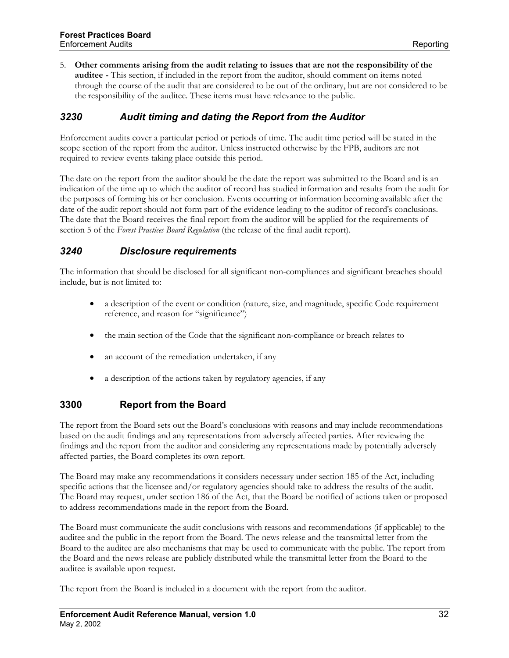<span id="page-38-0"></span>5. **Other comments arising from the audit relating to issues that are not the responsibility of the auditee -** This section, if included in the report from the auditor, should comment on items noted through the course of the audit that are considered to be out of the ordinary, but are not considered to be the responsibility of the auditee. These items must have relevance to the public.

## *3230 Audit timing and dating the Report from the Auditor*

Enforcement audits cover a particular period or periods of time. The audit time period will be stated in the scope section of the report from the auditor. Unless instructed otherwise by the FPB, auditors are not required to review events taking place outside this period.

The date on the report from the auditor should be the date the report was submitted to the Board and is an indication of the time up to which the auditor of record has studied information and results from the audit for the purposes of forming his or her conclusion. Events occurring or information becoming available after the date of the audit report should not form part of the evidence leading to the auditor of record's conclusions. The date that the Board receives the final report from the auditor will be applied for the requirements of section 5 of the *Forest Practices Board Regulation* (the release of the final audit report).

#### *3240 Disclosure requirements*

The information that should be disclosed for all significant non-compliances and significant breaches should include, but is not limited to:

- a description of the event or condition (nature, size, and magnitude, specific Code requirement reference, and reason for "significance")
- the main section of the Code that the significant non-compliance or breach relates to
- an account of the remediation undertaken, if any
- a description of the actions taken by regulatory agencies, if any

#### **3300 Report from the Board**

The report from the Board sets out the Board's conclusions with reasons and may include recommendations based on the audit findings and any representations from adversely affected parties. After reviewing the findings and the report from the auditor and considering any representations made by potentially adversely affected parties, the Board completes its own report.

The Board may make any recommendations it considers necessary under section 185 of the Act, including specific actions that the licensee and/or regulatory agencies should take to address the results of the audit. The Board may request, under section 186 of the Act, that the Board be notified of actions taken or proposed to address recommendations made in the report from the Board.

The Board must communicate the audit conclusions with reasons and recommendations (if applicable) to the auditee and the public in the report from the Board. The news release and the transmittal letter from the Board to the auditee are also mechanisms that may be used to communicate with the public. The report from the Board and the news release are publicly distributed while the transmittal letter from the Board to the auditee is available upon request.

The report from the Board is included in a document with the report from the auditor.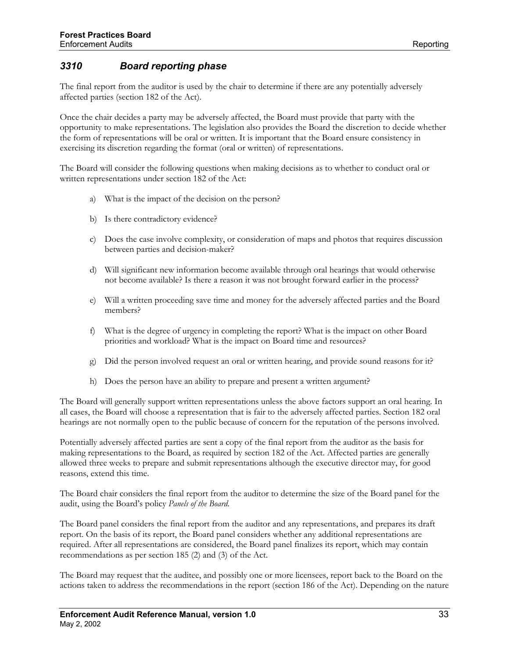# <span id="page-39-0"></span>*3310 Board reporting phase*

The final report from the auditor is used by the chair to determine if there are any potentially adversely affected parties (section 182 of the Act).

Once the chair decides a party may be adversely affected, the Board must provide that party with the opportunity to make representations. The legislation also provides the Board the discretion to decide whether the form of representations will be oral or written. It is important that the Board ensure consistency in exercising its discretion regarding the format (oral or written) of representations.

The Board will consider the following questions when making decisions as to whether to conduct oral or written representations under section 182 of the Act:

- a) What is the impact of the decision on the person?
- b) Is there contradictory evidence?
- c) Does the case involve complexity, or consideration of maps and photos that requires discussion between parties and decision-maker?
- d) Will significant new information become available through oral hearings that would otherwise not become available? Is there a reason it was not brought forward earlier in the process?
- e) Will a written proceeding save time and money for the adversely affected parties and the Board members?
- f) What is the degree of urgency in completing the report? What is the impact on other Board priorities and workload? What is the impact on Board time and resources?
- g) Did the person involved request an oral or written hearing, and provide sound reasons for it?
- h) Does the person have an ability to prepare and present a written argument?

The Board will generally support written representations unless the above factors support an oral hearing. In all cases, the Board will choose a representation that is fair to the adversely affected parties. Section 182 oral hearings are not normally open to the public because of concern for the reputation of the persons involved.

Potentially adversely affected parties are sent a copy of the final report from the auditor as the basis for making representations to the Board, as required by section 182 of the Act. Affected parties are generally allowed three weeks to prepare and submit representations although the executive director may, for good reasons, extend this time.

The Board chair considers the final report from the auditor to determine the size of the Board panel for the audit, using the Board's policy *Panels of the Board*.

The Board panel considers the final report from the auditor and any representations, and prepares its draft report. On the basis of its report, the Board panel considers whether any additional representations are required. After all representations are considered, the Board panel finalizes its report, which may contain recommendations as per section 185 (2) and (3) of the Act.

The Board may request that the auditee, and possibly one or more licensees, report back to the Board on the actions taken to address the recommendations in the report (section 186 of the Act). Depending on the nature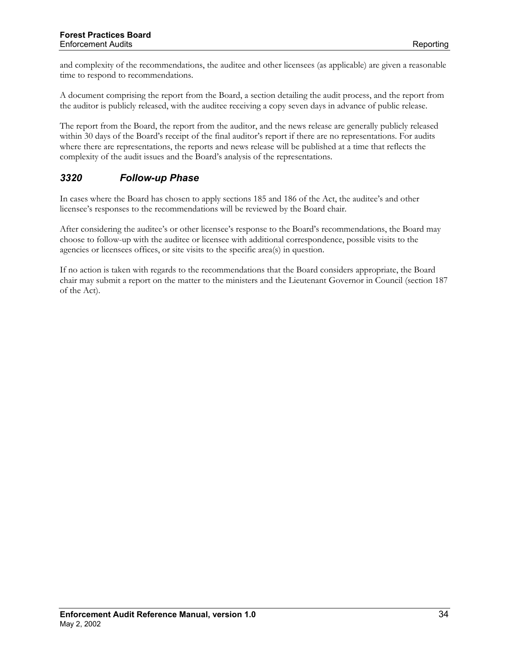<span id="page-40-0"></span>and complexity of the recommendations, the auditee and other licensees (as applicable) are given a reasonable time to respond to recommendations.

A document comprising the report from the Board, a section detailing the audit process, and the report from the auditor is publicly released, with the auditee receiving a copy seven days in advance of public release.

The report from the Board, the report from the auditor, and the news release are generally publicly released within 30 days of the Board's receipt of the final auditor's report if there are no representations. For audits where there are representations, the reports and news release will be published at a time that reflects the complexity of the audit issues and the Board's analysis of the representations.

# *3320 Follow-up Phase*

In cases where the Board has chosen to apply sections 185 and 186 of the Act, the auditee's and other licensee's responses to the recommendations will be reviewed by the Board chair.

After considering the auditee's or other licensee's response to the Board's recommendations, the Board may choose to follow-up with the auditee or licensee with additional correspondence, possible visits to the agencies or licensees offices, or site visits to the specific area(s) in question.

If no action is taken with regards to the recommendations that the Board considers appropriate, the Board chair may submit a report on the matter to the ministers and the Lieutenant Governor in Council (section 187 of the Act).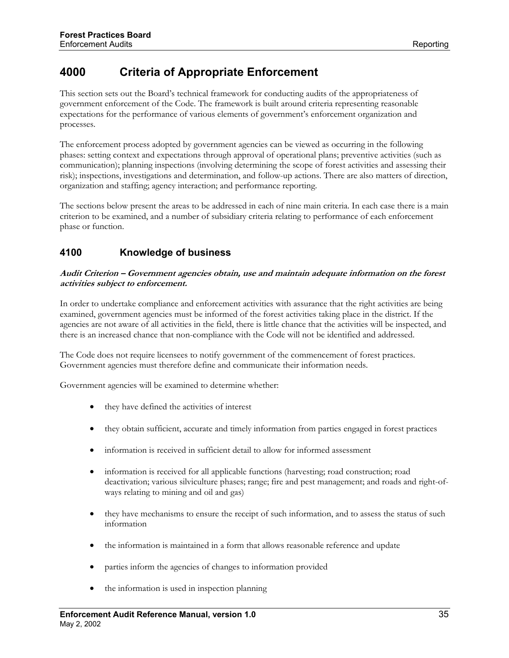# <span id="page-41-0"></span>**4000 Criteria of Appropriate Enforcement**

This section sets out the Board's technical framework for conducting audits of the appropriateness of government enforcement of the Code. The framework is built around criteria representing reasonable expectations for the performance of various elements of government's enforcement organization and processes.

The enforcement process adopted by government agencies can be viewed as occurring in the following phases: setting context and expectations through approval of operational plans; preventive activities (such as communication); planning inspections (involving determining the scope of forest activities and assessing their risk); inspections, investigations and determination, and follow-up actions. There are also matters of direction, organization and staffing; agency interaction; and performance reporting.

The sections below present the areas to be addressed in each of nine main criteria. In each case there is a main criterion to be examined, and a number of subsidiary criteria relating to performance of each enforcement phase or function.

# **4100 Knowledge of business**

#### **Audit Criterion – Government agencies obtain, use and maintain adequate information on the forest activities subject to enforcement.**

In order to undertake compliance and enforcement activities with assurance that the right activities are being examined, government agencies must be informed of the forest activities taking place in the district. If the agencies are not aware of all activities in the field, there is little chance that the activities will be inspected, and there is an increased chance that non-compliance with the Code will not be identified and addressed.

The Code does not require licensees to notify government of the commencement of forest practices. Government agencies must therefore define and communicate their information needs.

- they have defined the activities of interest
- they obtain sufficient, accurate and timely information from parties engaged in forest practices
- information is received in sufficient detail to allow for informed assessment
- information is received for all applicable functions (harvesting; road construction; road deactivation; various silviculture phases; range; fire and pest management; and roads and right-ofways relating to mining and oil and gas)
- they have mechanisms to ensure the receipt of such information, and to assess the status of such information
- the information is maintained in a form that allows reasonable reference and update
- parties inform the agencies of changes to information provided
- the information is used in inspection planning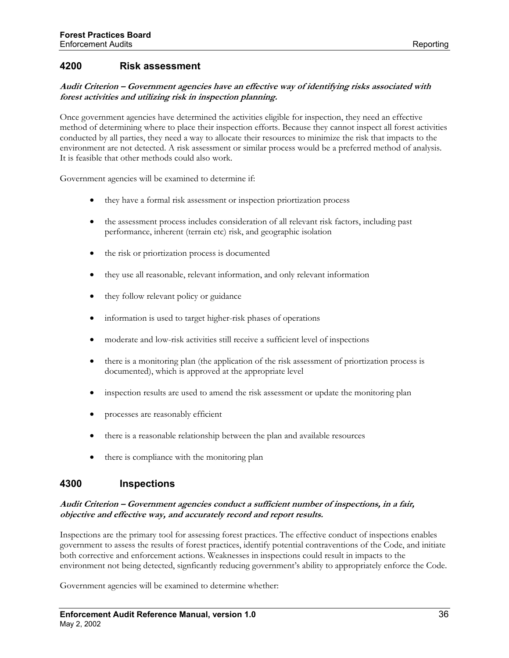#### <span id="page-42-0"></span>**4200 Risk assessment**

#### **Audit Criterion – Government agencies have an effective way of identifying risks associated with forest activities and utilizing risk in inspection planning.**

Once government agencies have determined the activities eligible for inspection, they need an effective method of determining where to place their inspection efforts. Because they cannot inspect all forest activities conducted by all parties, they need a way to allocate their resources to minimize the risk that impacts to the environment are not detected. A risk assessment or similar process would be a preferred method of analysis. It is feasible that other methods could also work.

Government agencies will be examined to determine if:

- they have a formal risk assessment or inspection priortization process
- the assessment process includes consideration of all relevant risk factors, including past performance, inherent (terrain etc) risk, and geographic isolation
- the risk or priortization process is documented
- they use all reasonable, relevant information, and only relevant information
- they follow relevant policy or guidance
- information is used to target higher-risk phases of operations
- moderate and low-risk activities still receive a sufficient level of inspections
- there is a monitoring plan (the application of the risk assessment of priortization process is documented), which is approved at the appropriate level
- inspection results are used to amend the risk assessment or update the monitoring plan
- processes are reasonably efficient
- there is a reasonable relationship between the plan and available resources
- there is compliance with the monitoring plan

#### **4300 Inspections**

#### **Audit Criterion – Government agencies conduct a sufficient number of inspections, in a fair, objective and effective way, and accurately record and report results.**

Inspections are the primary tool for assessing forest practices. The effective conduct of inspections enables government to assess the results of forest practices, identify potential contraventions of the Code, and initiate both corrective and enforcement actions. Weaknesses in inspections could result in impacts to the environment not being detected, signficantly reducing government's ability to appropriately enforce the Code.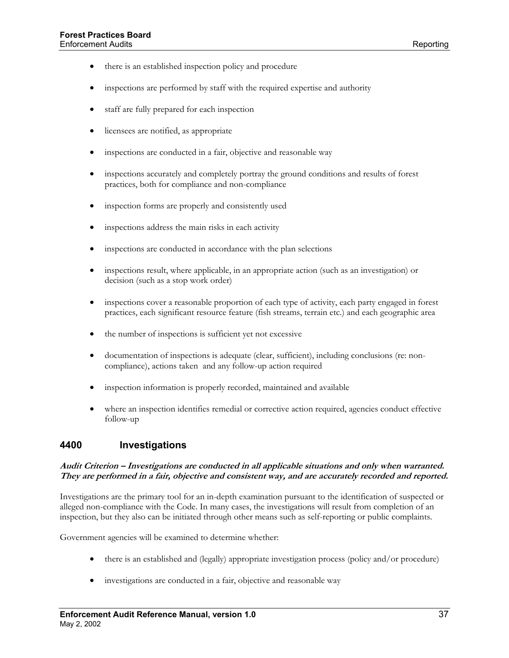- <span id="page-43-0"></span>• there is an established inspection policy and procedure
- inspections are performed by staff with the required expertise and authority
- staff are fully prepared for each inspection
- licensees are notified, as appropriate
- inspections are conducted in a fair, objective and reasonable way
- inspections accurately and completely portray the ground conditions and results of forest practices, both for compliance and non-compliance
- inspection forms are properly and consistently used
- inspections address the main risks in each activity
- inspections are conducted in accordance with the plan selections
- inspections result, where applicable, in an appropriate action (such as an investigation) or decision (such as a stop work order)
- inspections cover a reasonable proportion of each type of activity, each party engaged in forest practices, each significant resource feature (fish streams, terrain etc.) and each geographic area
- the number of inspections is sufficient yet not excessive
- documentation of inspections is adequate (clear, sufficient), including conclusions (re: noncompliance), actions taken and any follow-up action required
- inspection information is properly recorded, maintained and available
- where an inspection identifies remedial or corrective action required, agencies conduct effective follow-up

#### **4400 Investigations**

#### **Audit Criterion – Investigations are conducted in all applicable situations and only when warranted. They are performed in a fair, objective and consistent way, and are accurately recorded and reported.**

Investigations are the primary tool for an in-depth examination pursuant to the identification of suspected or alleged non-compliance with the Code. In many cases, the investigations will result from completion of an inspection, but they also can be initiated through other means such as self-reporting or public complaints.

- there is an established and (legally) appropriate investigation process (policy and/or procedure)
- investigations are conducted in a fair, objective and reasonable way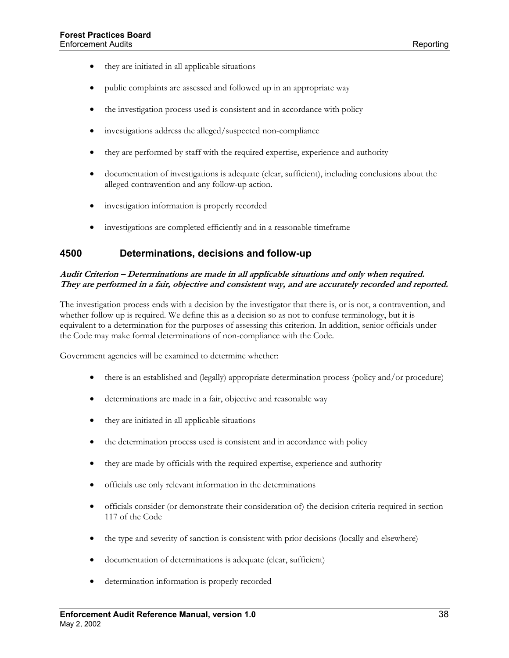- <span id="page-44-0"></span>• they are initiated in all applicable situations
- public complaints are assessed and followed up in an appropriate way
- the investigation process used is consistent and in accordance with policy
- investigations address the alleged/suspected non-compliance
- they are performed by staff with the required expertise, experience and authority
- documentation of investigations is adequate (clear, sufficient), including conclusions about the alleged contravention and any follow-up action.
- investigation information is properly recorded
- investigations are completed efficiently and in a reasonable timeframe

#### **4500 Determinations, decisions and follow-up**

#### **Audit Criterion – Determinations are made in all applicable situations and only when required. They are performed in a fair, objective and consistent way, and are accurately recorded and reported.**

The investigation process ends with a decision by the investigator that there is, or is not, a contravention, and whether follow up is required. We define this as a decision so as not to confuse terminology, but it is equivalent to a determination for the purposes of assessing this criterion. In addition, senior officials under the Code may make formal determinations of non-compliance with the Code.

- there is an established and (legally) appropriate determination process (policy and/or procedure)
- determinations are made in a fair, objective and reasonable way
- they are initiated in all applicable situations
- the determination process used is consistent and in accordance with policy
- they are made by officials with the required expertise, experience and authority
- officials use only relevant information in the determinations
- officials consider (or demonstrate their consideration of) the decision criteria required in section 117 of the Code
- the type and severity of sanction is consistent with prior decisions (locally and elsewhere)
- documentation of determinations is adequate (clear, sufficient)
- determination information is properly recorded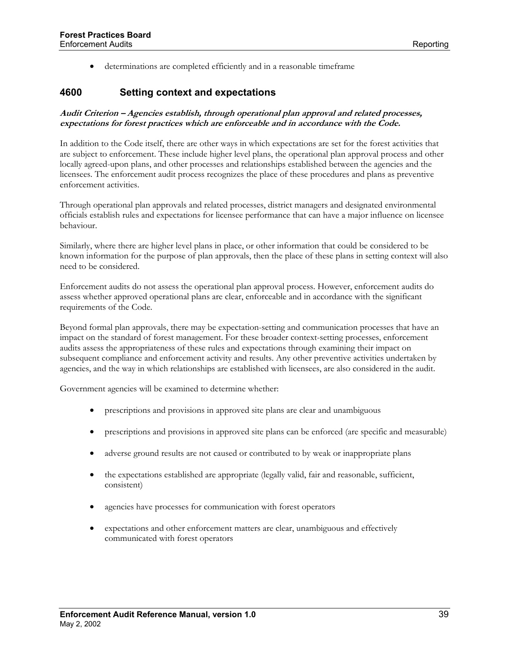• determinations are completed efficiently and in a reasonable timeframe

#### <span id="page-45-0"></span>**4600 Setting context and expectations**

#### **Audit Criterion – Agencies establish, through operational plan approval and related processes, expectations for forest practices which are enforceable and in accordance with the Code.**

In addition to the Code itself, there are other ways in which expectations are set for the forest activities that are subject to enforcement. These include higher level plans, the operational plan approval process and other locally agreed-upon plans, and other processes and relationships established between the agencies and the licensees. The enforcement audit process recognizes the place of these procedures and plans as preventive enforcement activities.

Through operational plan approvals and related processes, district managers and designated environmental officials establish rules and expectations for licensee performance that can have a major influence on licensee behaviour.

Similarly, where there are higher level plans in place, or other information that could be considered to be known information for the purpose of plan approvals, then the place of these plans in setting context will also need to be considered.

Enforcement audits do not assess the operational plan approval process. However, enforcement audits do assess whether approved operational plans are clear, enforceable and in accordance with the significant requirements of the Code.

Beyond formal plan approvals, there may be expectation-setting and communication processes that have an impact on the standard of forest management. For these broader context-setting processes, enforcement audits assess the appropriateness of these rules and expectations through examining their impact on subsequent compliance and enforcement activity and results. Any other preventive activities undertaken by agencies, and the way in which relationships are established with licensees, are also considered in the audit.

- prescriptions and provisions in approved site plans are clear and unambiguous
- prescriptions and provisions in approved site plans can be enforced (are specific and measurable)
- adverse ground results are not caused or contributed to by weak or inappropriate plans
- the expectations established are appropriate (legally valid, fair and reasonable, sufficient, consistent)
- agencies have processes for communication with forest operators
- expectations and other enforcement matters are clear, unambiguous and effectively communicated with forest operators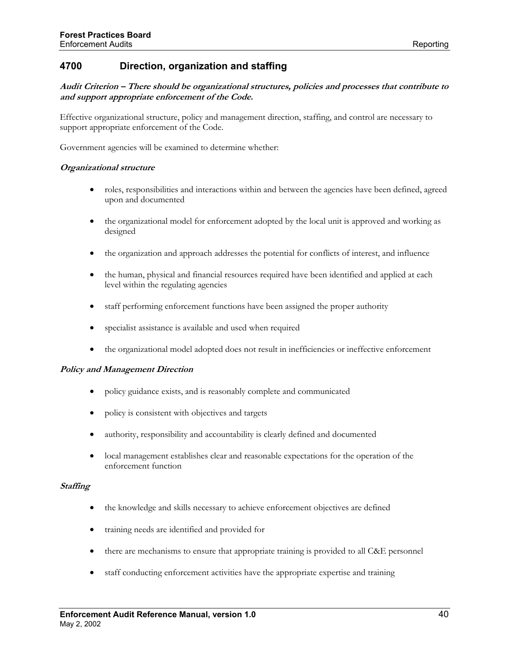#### <span id="page-46-0"></span>**4700 Direction, organization and staffing**

#### **Audit Criterion – There should be organizational structures, policies and processes that contribute to and support appropriate enforcement of the Code.**

Effective organizational structure, policy and management direction, staffing, and control are necessary to support appropriate enforcement of the Code.

Government agencies will be examined to determine whether:

#### **Organizational structure**

- roles, responsibilities and interactions within and between the agencies have been defined, agreed upon and documented
- the organizational model for enforcement adopted by the local unit is approved and working as designed
- the organization and approach addresses the potential for conflicts of interest, and influence
- the human, physical and financial resources required have been identified and applied at each level within the regulating agencies
- staff performing enforcement functions have been assigned the proper authority
- specialist assistance is available and used when required
- the organizational model adopted does not result in inefficiencies or ineffective enforcement

#### **Policy and Management Direction**

- policy guidance exists, and is reasonably complete and communicated
- policy is consistent with objectives and targets
- authority, responsibility and accountability is clearly defined and documented
- local management establishes clear and reasonable expectations for the operation of the enforcement function

#### **Staffing**

- the knowledge and skills necessary to achieve enforcement objectives are defined
- training needs are identified and provided for
- there are mechanisms to ensure that appropriate training is provided to all C&E personnel
- staff conducting enforcement activities have the appropriate expertise and training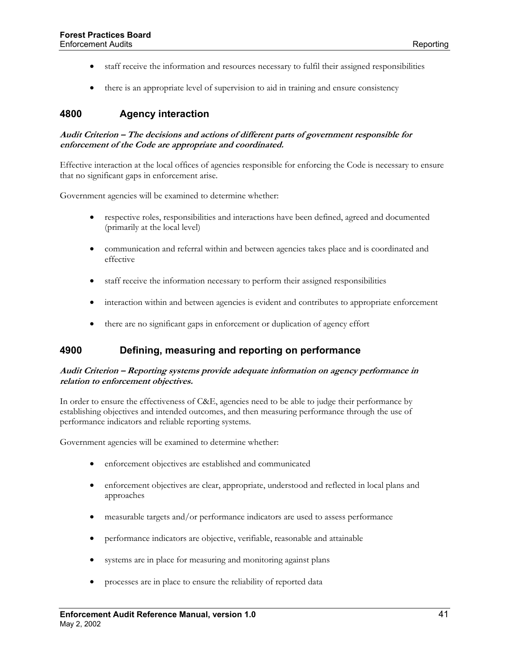- <span id="page-47-0"></span>• staff receive the information and resources necessary to fulfil their assigned responsibilities
- there is an appropriate level of supervision to aid in training and ensure consistency

## **4800 Agency interaction**

#### **Audit Criterion – The decisions and actions of different parts of government responsible for enforcement of the Code are appropriate and coordinated.**

Effective interaction at the local offices of agencies responsible for enforcing the Code is necessary to ensure that no significant gaps in enforcement arise.

Government agencies will be examined to determine whether:

- respective roles, responsibilities and interactions have been defined, agreed and documented (primarily at the local level)
- communication and referral within and between agencies takes place and is coordinated and effective
- staff receive the information necessary to perform their assigned responsibilities
- interaction within and between agencies is evident and contributes to appropriate enforcement
- there are no significant gaps in enforcement or duplication of agency effort

#### **4900 Defining, measuring and reporting on performance**

#### **Audit Criterion – Reporting systems provide adequate information on agency performance in relation to enforcement objectives.**

In order to ensure the effectiveness of C&E, agencies need to be able to judge their performance by establishing objectives and intended outcomes, and then measuring performance through the use of performance indicators and reliable reporting systems.

- enforcement objectives are established and communicated
- enforcement objectives are clear, appropriate, understood and reflected in local plans and approaches
- measurable targets and/or performance indicators are used to assess performance
- performance indicators are objective, verifiable, reasonable and attainable
- systems are in place for measuring and monitoring against plans
- processes are in place to ensure the reliability of reported data